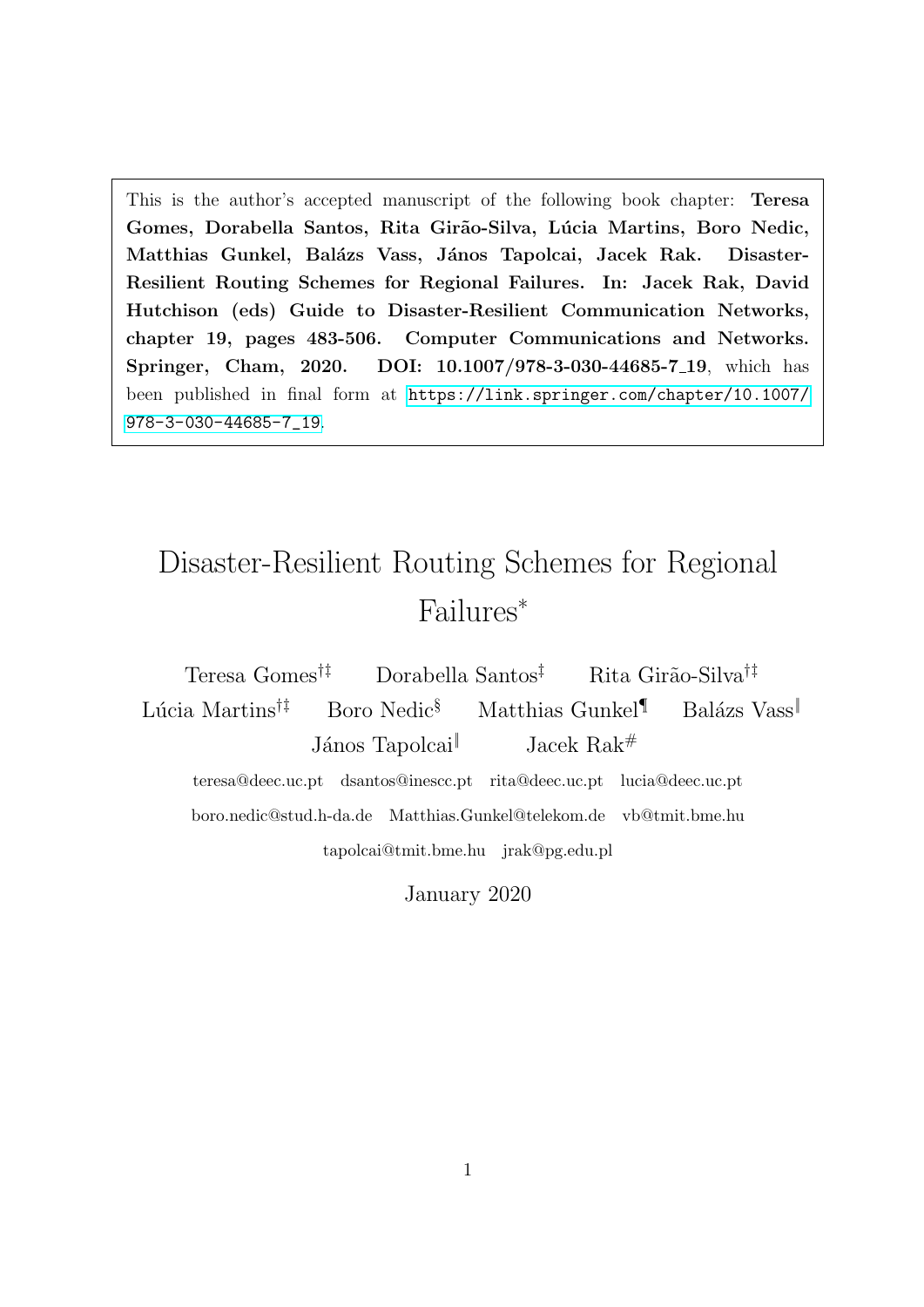<span id="page-0-0"></span>This is the author's accepted manuscript of the following book chapter: Teresa Gomes, Dorabella Santos, Rita Girão-Silva, Lúcia Martins, Boro Nedic, Matthias Gunkel, Balázs Vass, János Tapolcai, Jacek Rak. Disaster-Resilient Routing Schemes for Regional Failures. In: Jacek Rak, David Hutchison (eds) Guide to Disaster-Resilient Communication Networks, chapter 19, pages 483-506. Computer Communications and Networks. Springer, Cham, 2020. DOI: 10.1007/978-3-030-44685-7 19, which has been published in final form at [https://link.springer.com/chapter/10.1007/](https://link.springer.com/chapter/10.1007/978-3-030-44685-7_19) [978-3-030-44685-7\\_19](https://link.springer.com/chapter/10.1007/978-3-030-44685-7_19).

# Disaster-Resilient Routing Schemes for Regional Failures<sup>∗</sup>

Teresa Gomes<sup>†‡</sup> Dorabella Santos<sup>‡</sup> Rita Girão-Silva<sup>†‡</sup> Lúcia Martins<sup>†‡</sup> Boro Nedic<sup>§</sup> Matthias Gunkel<sup>¶</sup> Balázs Vass<sup>||</sup> János Tapolcai<sup>l</sup> Jacek Rak<sup>#</sup> teresa@deec.uc.pt dsantos@inescc.pt rita@deec.uc.pt lucia@deec.uc.pt boro.nedic@stud.h-da.de Matthias.Gunkel@telekom.de vb@tmit.bme.hu tapolcai@tmit.bme.hu jrak@pg.edu.pl

January 2020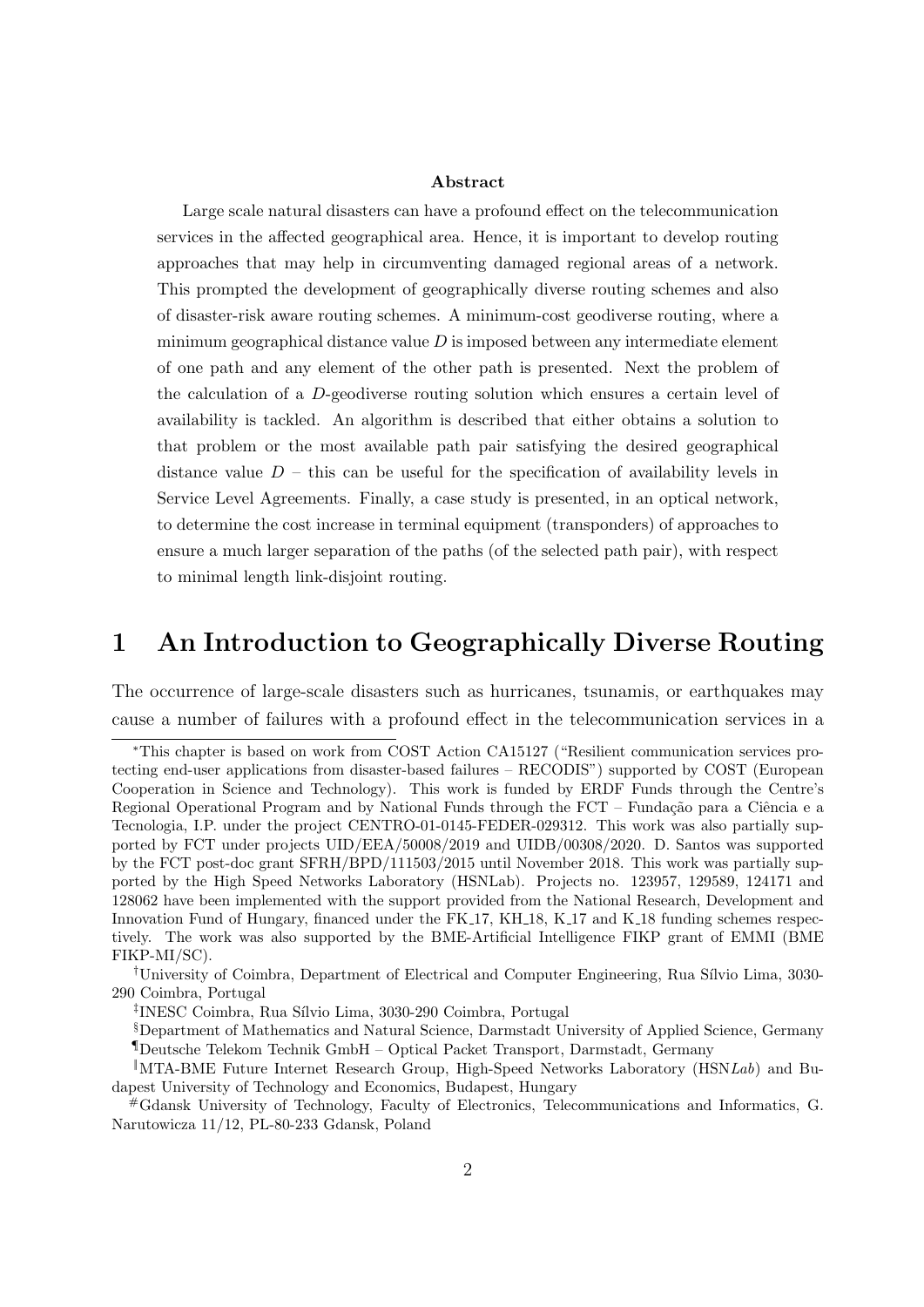#### Abstract

Large scale natural disasters can have a profound effect on the telecommunication services in the affected geographical area. Hence, it is important to develop routing approaches that may help in circumventing damaged regional areas of a network. This prompted the development of geographically diverse routing schemes and also of disaster-risk aware routing schemes. A minimum-cost geodiverse routing, where a minimum geographical distance value  $D$  is imposed between any intermediate element of one path and any element of the other path is presented. Next the problem of the calculation of a D-geodiverse routing solution which ensures a certain level of availability is tackled. An algorithm is described that either obtains a solution to that problem or the most available path pair satisfying the desired geographical distance value  $D -$  this can be useful for the specification of availability levels in Service Level Agreements. Finally, a case study is presented, in an optical network, to determine the cost increase in terminal equipment (transponders) of approaches to ensure a much larger separation of the paths (of the selected path pair), with respect to minimal length link-disjoint routing.

## <span id="page-1-0"></span>1 An Introduction to Geographically Diverse Routing

The occurrence of large-scale disasters such as hurricanes, tsunamis, or earthquakes may cause a number of failures with a profound effect in the telecommunication services in a

<sup>∗</sup>This chapter is based on work from COST Action CA15127 ("Resilient communication services protecting end-user applications from disaster-based failures – RECODIS") supported by COST (European Cooperation in Science and Technology). This work is funded by ERDF Funds through the Centre's Regional Operational Program and by National Funds through the FCT – Fundação para a Ciência e a Tecnologia, I.P. under the project CENTRO-01-0145-FEDER-029312. This work was also partially supported by FCT under projects UID/EEA/50008/2019 and UIDB/00308/2020. D. Santos was supported by the FCT post-doc grant SFRH/BPD/111503/2015 until November 2018. This work was partially supported by the High Speed Networks Laboratory (HSNLab). Projects no. 123957, 129589, 124171 and 128062 have been implemented with the support provided from the National Research, Development and Innovation Fund of Hungary, financed under the FK<sub>-17</sub>, KH<sub>-18</sub>, K<sub>-17</sub> and K<sub>-18</sub> funding schemes respectively. The work was also supported by the BME-Artificial Intelligence FIKP grant of EMMI (BME FIKP-MI/SC).

<sup>&</sup>lt;sup>†</sup>University of Coimbra, Department of Electrical and Computer Engineering, Rua Sílvio Lima, 3030-290 Coimbra, Portugal

<sup>&</sup>lt;sup>‡</sup>INESC Coimbra, Rua Sílvio Lima, 3030-290 Coimbra, Portugal

<sup>§</sup>Department of Mathematics and Natural Science, Darmstadt University of Applied Science, Germany ¶Deutsche Telekom Technik GmbH – Optical Packet Transport, Darmstadt, Germany

 $\parallel$ MTA-BME Future Internet Research Group, High-Speed Networks Laboratory (HSNLab) and Budapest University of Technology and Economics, Budapest, Hungary

<sup>#</sup>Gdansk University of Technology, Faculty of Electronics, Telecommunications and Informatics, G. Narutowicza 11/12, PL-80-233 Gdansk, Poland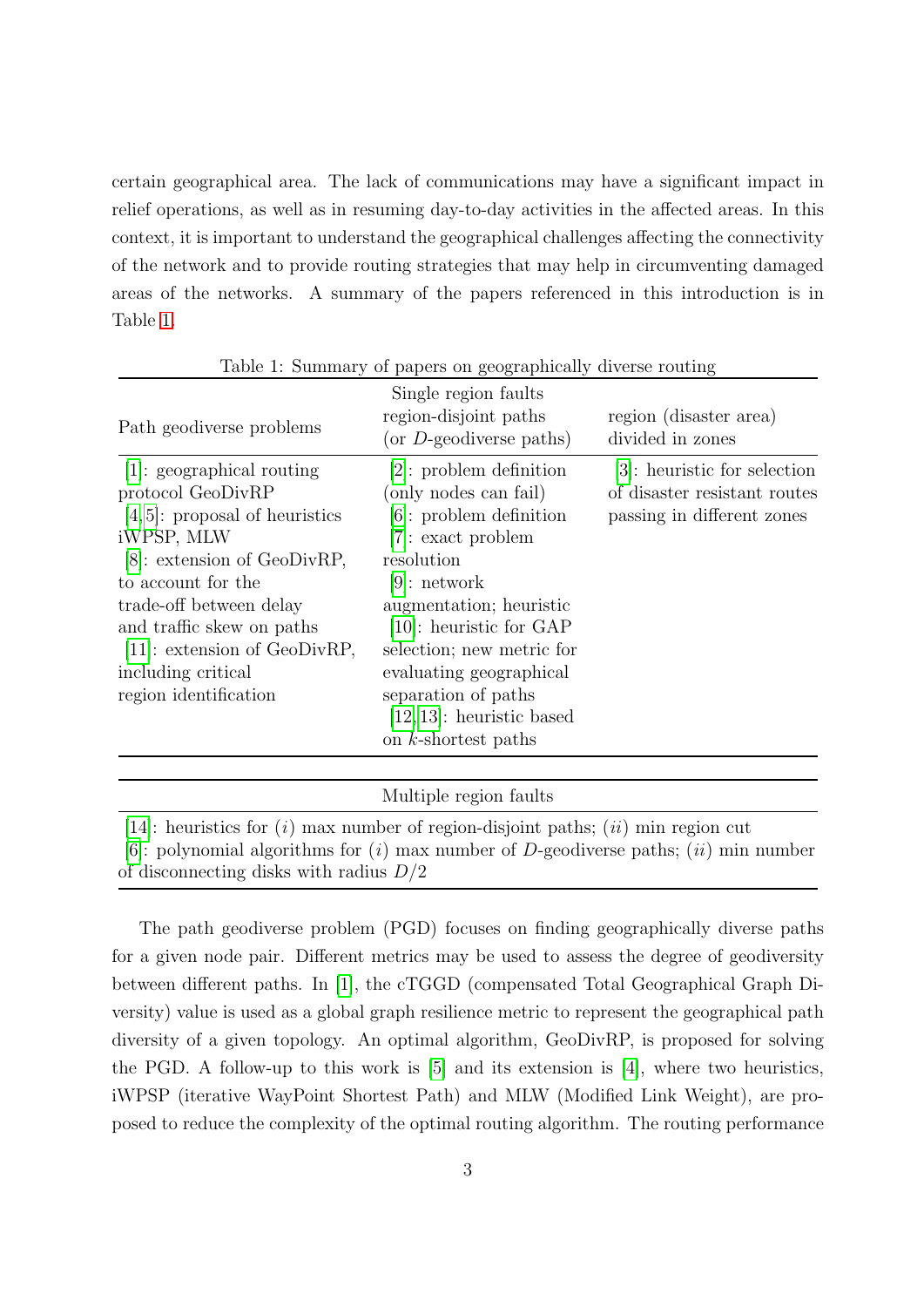certain geographical area. The lack of communications may have a significant impact in relief operations, as well as in resuming day-to-day activities in the affected areas. In this context, it is important to understand the geographical challenges affecting the connectivity of the network and to provide routing strategies that may help in circumventing damaged areas of the networks. A summary of the papers referenced in this introduction is in Table [1.](#page-2-0)

<span id="page-2-0"></span>

| Path geodiverse problems                                                                                                                                                                                                                                                                           | Single region faults<br>region-disjoint paths<br>(or $D$ -geodiverse paths)                                                                                                                                                                                                                                                             | region (disaster area)<br>divided in zones                                                 |
|----------------------------------------------------------------------------------------------------------------------------------------------------------------------------------------------------------------------------------------------------------------------------------------------------|-----------------------------------------------------------------------------------------------------------------------------------------------------------------------------------------------------------------------------------------------------------------------------------------------------------------------------------------|--------------------------------------------------------------------------------------------|
| $ 1 $ : geographical routing<br>protocol GeoDivRP<br>$[4,5]$ : proposal of heuristics<br>iWPSP, MLW<br>[8]: extension of GeoDivRP,<br>to account for the<br>trade-off between delay<br>and traffic skew on paths<br>[11]: extension of $GeoDivRP$ ,<br>including critical<br>region identification | $[2]$ : problem definition<br>(only nodes can fail)<br>$[6]$ : problem definition<br>[7]: exact problem<br>resolution<br>[9]: network<br>augmentation; heuristic<br>$[10]$ : heuristic for GAP<br>selection; new metric for<br>evaluating geographical<br>separation of paths<br>$[12, 13]$ : heuristic based<br>on $k$ -shortest paths | [3]: heuristic for selection<br>of disaster resistant routes<br>passing in different zones |
|                                                                                                                                                                                                                                                                                                    | Multiple region faults                                                                                                                                                                                                                                                                                                                  |                                                                                            |
| [14]: heuristics for $(i)$ max number of region-disjoint paths; $(ii)$ min region cut<br>$[\mathbf{g}]$ polynomial algorithms for $(i)$ may number of D goodiverse paths $(ii)$ min number                                                                                                         |                                                                                                                                                                                                                                                                                                                                         |                                                                                            |

Table 1: Summary of papers on geographically diverse routing

 $|6|$ : polynomial algorithms for  $(i)$  max number of D-geodiverse paths;  $(ii)$  min number of disconnecting disks with radius  $D/2$ 

The path geodiverse problem (PGD) focuses on finding geographically diverse paths for a given node pair. Different metrics may be used to assess the degree of geodiversity between different paths. In [\[1\]](#page-25-0), the cTGGD (compensated Total Geographical Graph Diversity) value is used as a global graph resilience metric to represent the geographical path diversity of a given topology. An optimal algorithm, GeoDivRP, is proposed for solving the PGD. A follow-up to this work is [\[5\]](#page-26-0) and its extension is [\[4\]](#page-25-3), where two heuristics, iWPSP (iterative WayPoint Shortest Path) and MLW (Modified Link Weight), are proposed to reduce the complexity of the optimal routing algorithm. The routing performance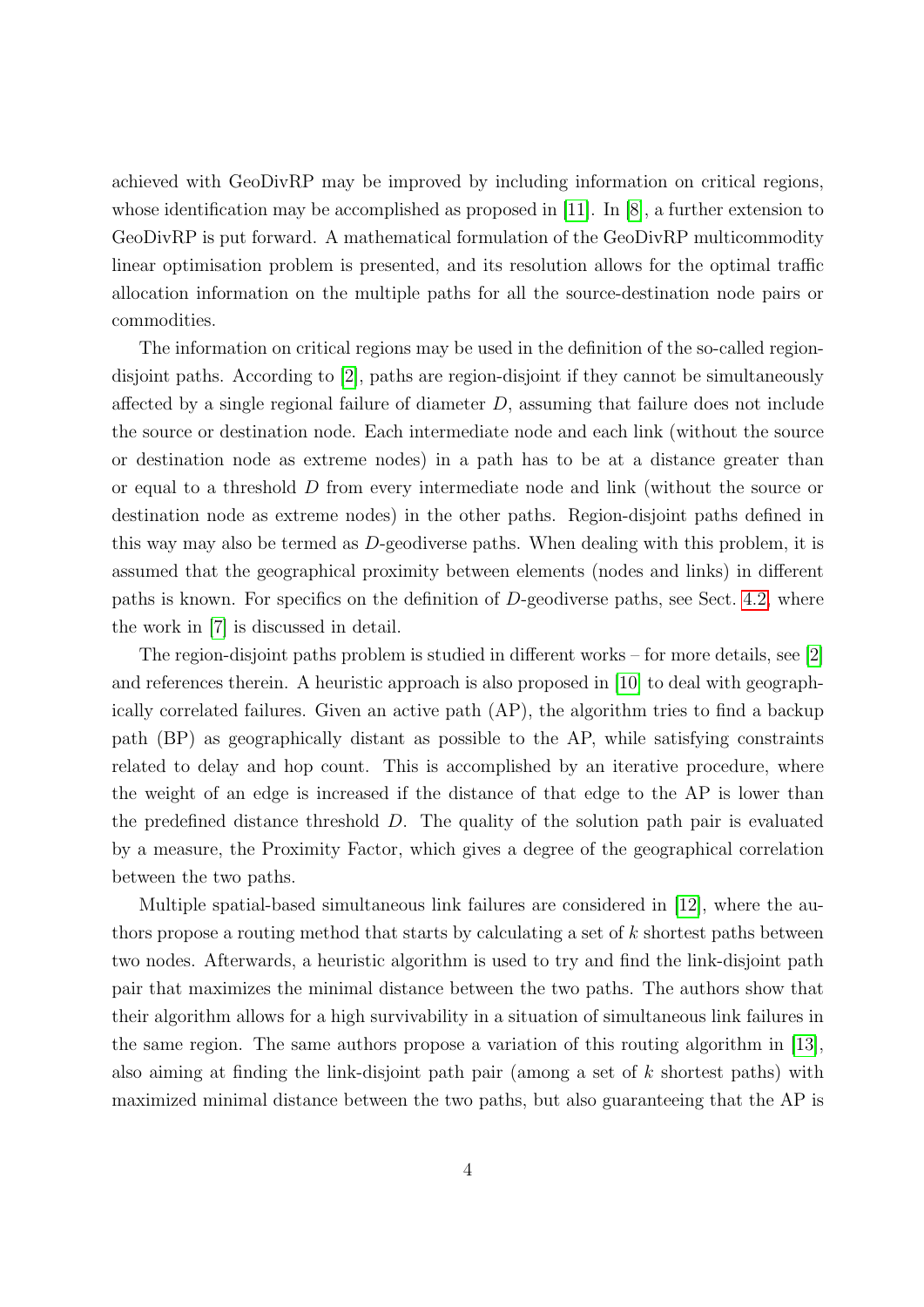achieved with GeoDivRP may be improved by including information on critical regions, whose identification may be accomplished as proposed in [\[11\]](#page-26-6). In [\[8\]](#page-26-3), a further extension to GeoDivRP is put forward. A mathematical formulation of the GeoDivRP multicommodity linear optimisation problem is presented, and its resolution allows for the optimal traffic allocation information on the multiple paths for all the source-destination node pairs or commodities.

The information on critical regions may be used in the definition of the so-called regiondisjoint paths. According to [\[2\]](#page-25-1), paths are region-disjoint if they cannot be simultaneously affected by a single regional failure of diameter  $D$ , assuming that failure does not include the source or destination node. Each intermediate node and each link (without the source or destination node as extreme nodes) in a path has to be at a distance greater than or equal to a threshold D from every intermediate node and link (without the source or destination node as extreme nodes) in the other paths. Region-disjoint paths defined in this way may also be termed as D-geodiverse paths. When dealing with this problem, it is assumed that the geographical proximity between elements (nodes and links) in different paths is known. For specifics on the definition of D-geodiverse paths, see Sect. [4.2,](#page-9-0) where the work in [\[7\]](#page-26-2) is discussed in detail.

The region-disjoint paths problem is studied in different works – for more details, see [\[2\]](#page-25-1) and references therein. A heuristic approach is also proposed in [\[10\]](#page-26-5) to deal with geographically correlated failures. Given an active path (AP), the algorithm tries to find a backup path (BP) as geographically distant as possible to the AP, while satisfying constraints related to delay and hop count. This is accomplished by an iterative procedure, where the weight of an edge is increased if the distance of that edge to the AP is lower than the predefined distance threshold D. The quality of the solution path pair is evaluated by a measure, the Proximity Factor, which gives a degree of the geographical correlation between the two paths.

Multiple spatial-based simultaneous link failures are considered in [\[12\]](#page-26-7), where the authors propose a routing method that starts by calculating a set of k shortest paths between two nodes. Afterwards, a heuristic algorithm is used to try and find the link-disjoint path pair that maximizes the minimal distance between the two paths. The authors show that their algorithm allows for a high survivability in a situation of simultaneous link failures in the same region. The same authors propose a variation of this routing algorithm in [\[13\]](#page-26-8), also aiming at finding the link-disjoint path pair (among a set of  $k$  shortest paths) with maximized minimal distance between the two paths, but also guaranteeing that the AP is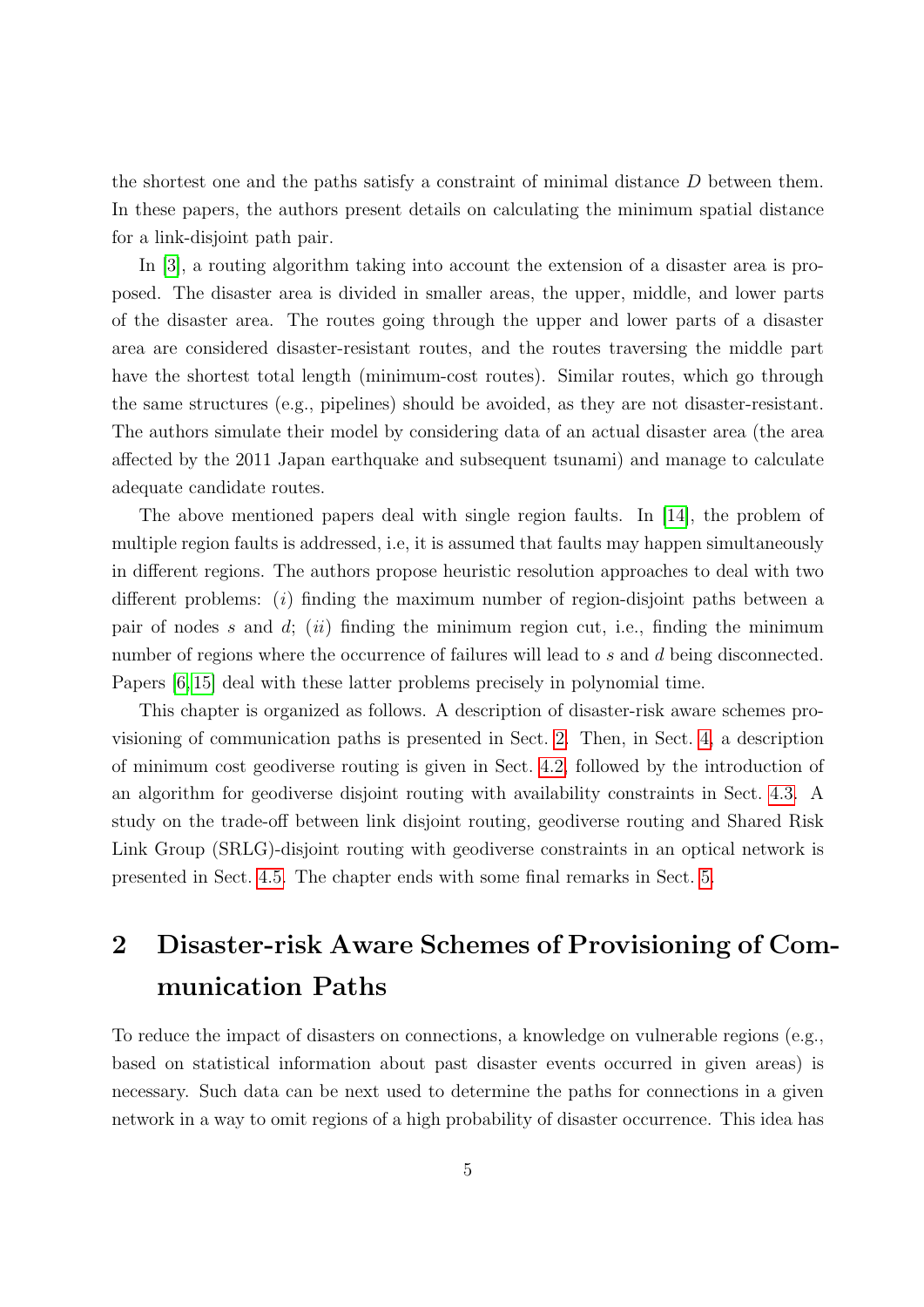the shortest one and the paths satisfy a constraint of minimal distance D between them. In these papers, the authors present details on calculating the minimum spatial distance for a link-disjoint path pair.

In [\[3\]](#page-25-2), a routing algorithm taking into account the extension of a disaster area is proposed. The disaster area is divided in smaller areas, the upper, middle, and lower parts of the disaster area. The routes going through the upper and lower parts of a disaster area are considered disaster-resistant routes, and the routes traversing the middle part have the shortest total length (minimum-cost routes). Similar routes, which go through the same structures (e.g., pipelines) should be avoided, as they are not disaster-resistant. The authors simulate their model by considering data of an actual disaster area (the area affected by the 2011 Japan earthquake and subsequent tsunami) and manage to calculate adequate candidate routes.

The above mentioned papers deal with single region faults. In [\[14\]](#page-26-9), the problem of multiple region faults is addressed, i.e, it is assumed that faults may happen simultaneously in different regions. The authors propose heuristic resolution approaches to deal with two different problems: (i) finding the maximum number of region-disjoint paths between a pair of nodes s and  $d$ ; (ii) finding the minimum region cut, i.e., finding the minimum number of regions where the occurrence of failures will lead to s and d being disconnected. Papers [\[6,](#page-26-1) [15\]](#page-27-0) deal with these latter problems precisely in polynomial time.

This chapter is organized as follows. A description of disaster-risk aware schemes provisioning of communication paths is presented in Sect. [2.](#page-4-0) Then, in Sect. [4,](#page-8-0) a description of minimum cost geodiverse routing is given in Sect. [4.2,](#page-9-0) followed by the introduction of an algorithm for geodiverse disjoint routing with availability constraints in Sect. [4.3.](#page-14-0) A study on the trade-off between link disjoint routing, geodiverse routing and Shared Risk Link Group (SRLG)-disjoint routing with geodiverse constraints in an optical network is presented in Sect. [4.5.](#page-18-0) The chapter ends with some final remarks in Sect. [5.](#page-24-0)

# <span id="page-4-0"></span>2 Disaster-risk Aware Schemes of Provisioning of Communication Paths

To reduce the impact of disasters on connections, a knowledge on vulnerable regions (e.g., based on statistical information about past disaster events occurred in given areas) is necessary. Such data can be next used to determine the paths for connections in a given network in a way to omit regions of a high probability of disaster occurrence. This idea has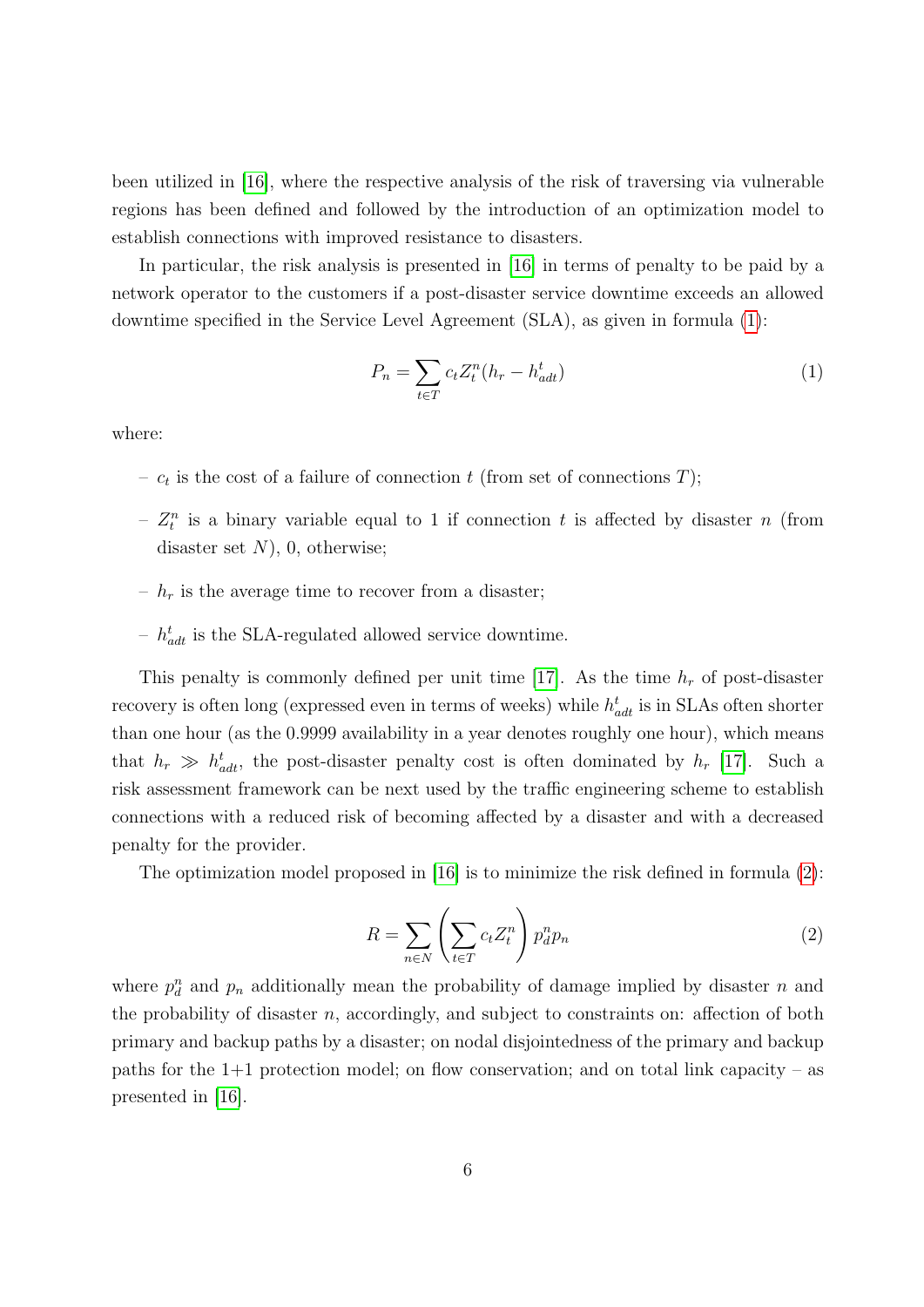been utilized in [\[16\]](#page-27-1), where the respective analysis of the risk of traversing via vulnerable regions has been defined and followed by the introduction of an optimization model to establish connections with improved resistance to disasters.

In particular, the risk analysis is presented in [\[16\]](#page-27-1) in terms of penalty to be paid by a network operator to the customers if a post-disaster service downtime exceeds an allowed downtime specified in the Service Level Agreement (SLA), as given in formula [\(1\)](#page-5-0):

<span id="page-5-0"></span>
$$
P_n = \sum_{t \in T} c_t Z_t^n (h_r - h_{adt}^t)
$$
\n<sup>(1)</sup>

where:

- $c_t$  is the cost of a failure of connection t (from set of connections T);
- $Z_t^n$  is a binary variable equal to 1 if connection t is affected by disaster n (from disaster set  $N$ ), 0, otherwise;
- $h_r$  is the average time to recover from a disaster;
- $h_{\text{adv}}^{t}$  is the SLA-regulated allowed service downtime.

This penalty is commonly defined per unit time  $[17]$ . As the time  $h_r$  of post-disaster recovery is often long (expressed even in terms of weeks) while  $h_{adt}^{t}$  is in SLAs often shorter than one hour (as the 0.9999 availability in a year denotes roughly one hour), which means that  $h_r \gg h_{adt}^t$ , the post-disaster penalty cost is often dominated by  $h_r$  [\[17\]](#page-27-2). Such a risk assessment framework can be next used by the traffic engineering scheme to establish connections with a reduced risk of becoming affected by a disaster and with a decreased penalty for the provider.

<span id="page-5-1"></span>The optimization model proposed in [\[16\]](#page-27-1) is to minimize the risk defined in formula [\(2\)](#page-5-1):

$$
R = \sum_{n \in N} \left( \sum_{t \in T} c_t Z_t^n \right) p_d^n p_n \tag{2}
$$

where  $p_d^n$  and  $p_n$  additionally mean the probability of damage implied by disaster n and the probability of disaster  $n$ , accordingly, and subject to constraints on: affection of both primary and backup paths by a disaster; on nodal disjointedness of the primary and backup paths for the  $1+1$  protection model; on flow conservation; and on total link capacity – as presented in [\[16\]](#page-27-1).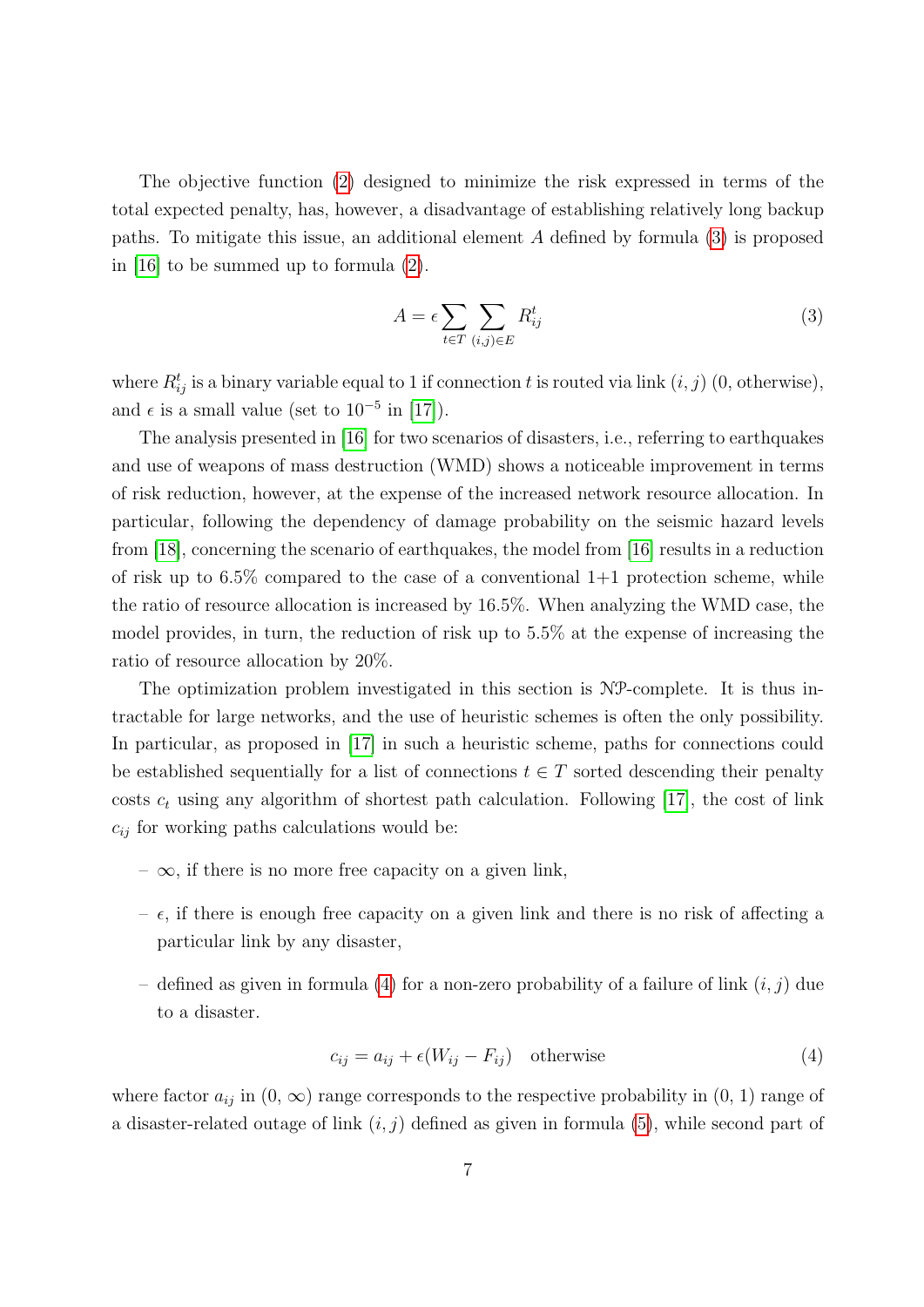The objective function [\(2\)](#page-5-1) designed to minimize the risk expressed in terms of the total expected penalty, has, however, a disadvantage of establishing relatively long backup paths. To mitigate this issue, an additional element A defined by formula [\(3\)](#page-6-0) is proposed in [\[16\]](#page-27-1) to be summed up to formula [\(2\)](#page-5-1).

<span id="page-6-0"></span>
$$
A = \epsilon \sum_{t \in T} \sum_{(i,j) \in E} R_{ij}^t \tag{3}
$$

where  $R_{ij}^t$  is a binary variable equal to 1 if connection t is routed via link  $(i, j)$  (0, otherwise), and  $\epsilon$  is a small value (set to 10<sup>-5</sup> in [\[17\]](#page-27-2)).

The analysis presented in [\[16\]](#page-27-1) for two scenarios of disasters, i.e., referring to earthquakes and use of weapons of mass destruction (WMD) shows a noticeable improvement in terms of risk reduction, however, at the expense of the increased network resource allocation. In particular, following the dependency of damage probability on the seismic hazard levels from [\[18\]](#page-27-3), concerning the scenario of earthquakes, the model from [\[16\]](#page-27-1) results in a reduction of risk up to  $6.5\%$  compared to the case of a conventional  $1+1$  protection scheme, while the ratio of resource allocation is increased by 16.5%. When analyzing the WMD case, the model provides, in turn, the reduction of risk up to 5.5% at the expense of increasing the ratio of resource allocation by 20%.

The optimization problem investigated in this section is NP-complete. It is thus intractable for large networks, and the use of heuristic schemes is often the only possibility. In particular, as proposed in [\[17\]](#page-27-2) in such a heuristic scheme, paths for connections could be established sequentially for a list of connections  $t \in T$  sorted descending their penalty costs  $c_t$  using any algorithm of shortest path calculation. Following [\[17\]](#page-27-2), the cost of link  $c_{ij}$  for working paths calculations would be:

- $-\infty$ , if there is no more free capacity on a given link,
- $\epsilon$ , if there is enough free capacity on a given link and there is no risk of affecting a particular link by any disaster,
- defined as given in formula [\(4\)](#page-6-1) for a non-zero probability of a failure of link  $(i, j)$  due to a disaster.

$$
c_{ij} = a_{ij} + \epsilon (W_{ij} - F_{ij}) \quad \text{otherwise} \tag{4}
$$

<span id="page-6-1"></span>where factor  $a_{ij}$  in  $(0, \infty)$  range corresponds to the respective probability in  $(0, 1)$  range of a disaster-related outage of link  $(i, j)$  defined as given in formula [\(5\)](#page-7-0), while second part of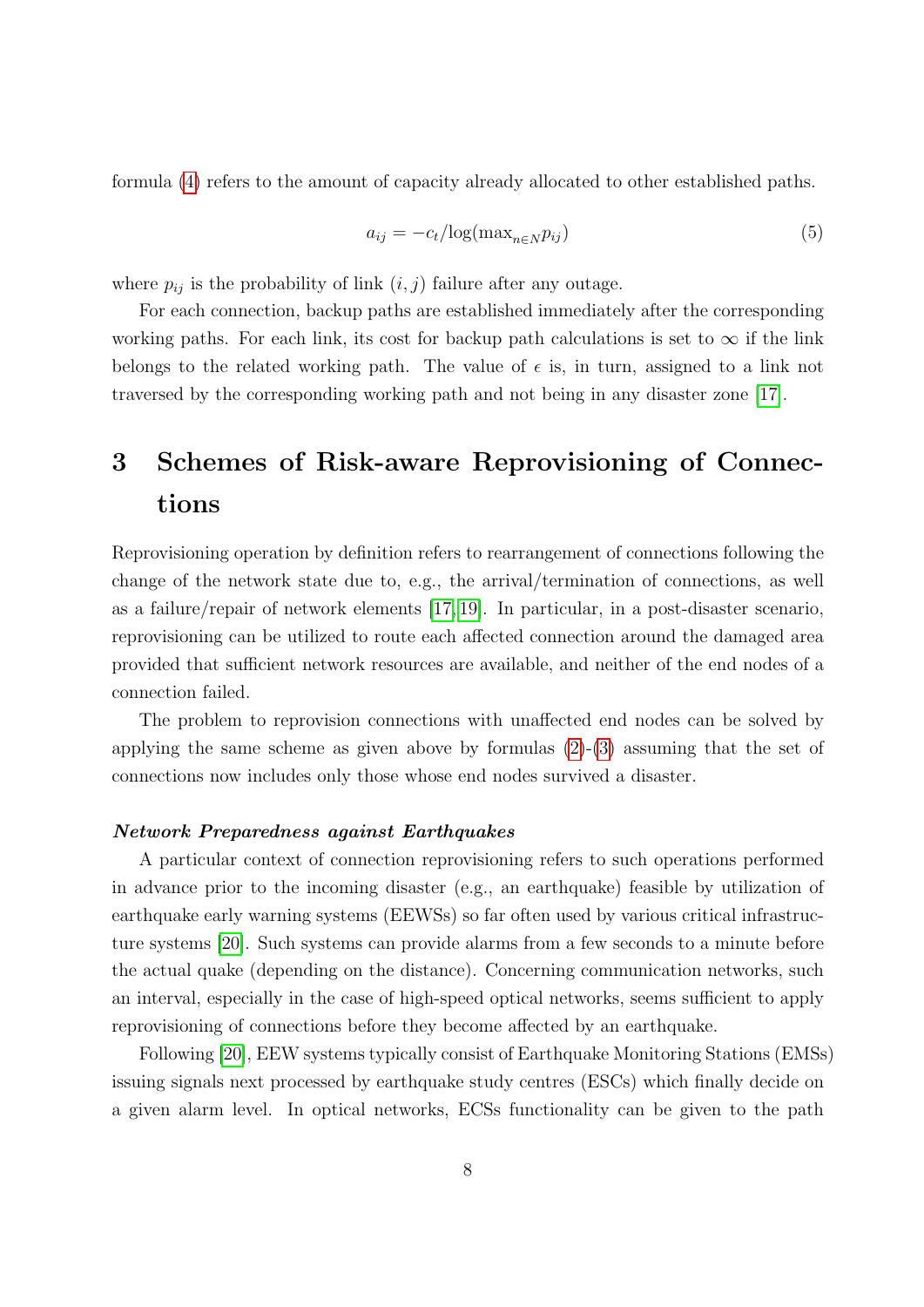formula [\(4\)](#page-6-1) refers to the amount of capacity already allocated to other established paths.

<span id="page-7-0"></span>
$$
a_{ij} = -c_t / \log(\max_{n \in N} p_{ij})
$$
\n<sup>(5)</sup>

where  $p_{ij}$  is the probability of link  $(i, j)$  failure after any outage.

For each connection, backup paths are established immediately after the corresponding working paths. For each link, its cost for backup path calculations is set to  $\infty$  if the link belongs to the related working path. The value of  $\epsilon$  is, in turn, assigned to a link not traversed by the corresponding working path and not being in any disaster zone [\[17\]](#page-27-2).

## 3 Schemes of Risk-aware Reprovisioning of Connections

Reprovisioning operation by definition refers to rearrangement of connections following the change of the network state due to, e.g., the arrival/termination of connections, as well as a failure/repair of network elements [\[17,](#page-27-2) [19\]](#page-27-4). In particular, in a post-disaster scenario, reprovisioning can be utilized to route each affected connection around the damaged area provided that sufficient network resources are available, and neither of the end nodes of a connection failed.

The problem to reprovision connections with unaffected end nodes can be solved by applying the same scheme as given above by formulas [\(2\)](#page-5-1)-[\(3\)](#page-6-0) assuming that the set of connections now includes only those whose end nodes survived a disaster.

#### Network Preparedness against Earthquakes

A particular context of connection reprovisioning refers to such operations performed in advance prior to the incoming disaster (e.g., an earthquake) feasible by utilization of earthquake early warning systems (EEWSs) so far often used by various critical infrastructure systems [\[20\]](#page-27-5). Such systems can provide alarms from a few seconds to a minute before the actual quake (depending on the distance). Concerning communication networks, such an interval, especially in the case of high-speed optical networks, seems sufficient to apply reprovisioning of connections before they become affected by an earthquake.

Following [\[20\]](#page-27-5), EEW systems typically consist of Earthquake Monitoring Stations (EMSs) issuing signals next processed by earthquake study centres (ESCs) which finally decide on a given alarm level. In optical networks, ECSs functionality can be given to the path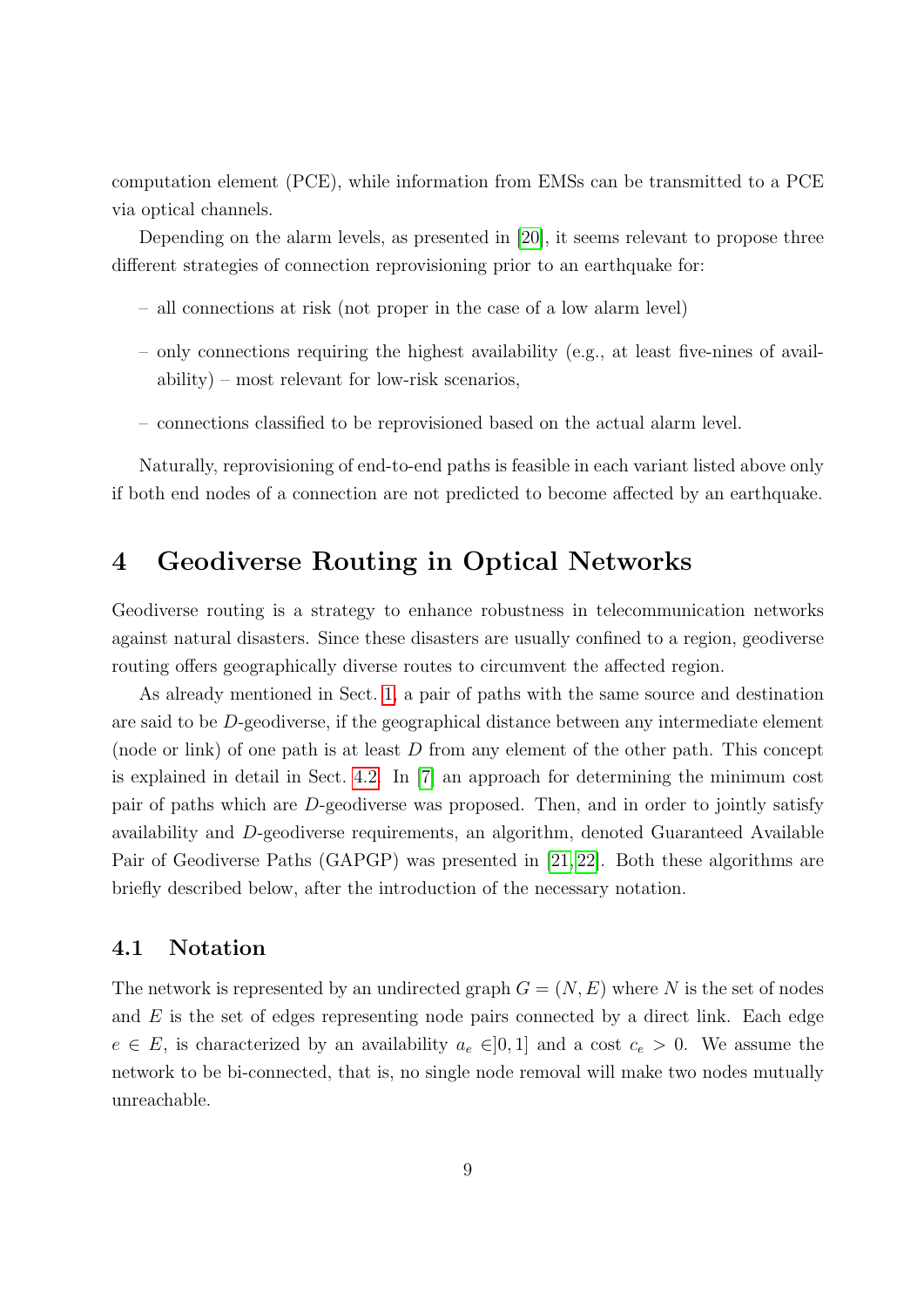computation element (PCE), while information from EMSs can be transmitted to a PCE via optical channels.

Depending on the alarm levels, as presented in [\[20\]](#page-27-5), it seems relevant to propose three different strategies of connection reprovisioning prior to an earthquake for:

- all connections at risk (not proper in the case of a low alarm level)
- only connections requiring the highest availability (e.g., at least five-nines of availability) – most relevant for low-risk scenarios,
- connections classified to be reprovisioned based on the actual alarm level.

Naturally, reprovisioning of end-to-end paths is feasible in each variant listed above only if both end nodes of a connection are not predicted to become affected by an earthquake.

### <span id="page-8-0"></span>4 Geodiverse Routing in Optical Networks

Geodiverse routing is a strategy to enhance robustness in telecommunication networks against natural disasters. Since these disasters are usually confined to a region, geodiverse routing offers geographically diverse routes to circumvent the affected region.

As already mentioned in Sect. [1,](#page-1-0) a pair of paths with the same source and destination are said to be D-geodiverse, if the geographical distance between any intermediate element (node or link) of one path is at least  $D$  from any element of the other path. This concept is explained in detail in Sect. [4.2.](#page-9-0) In [\[7\]](#page-26-2) an approach for determining the minimum cost pair of paths which are D-geodiverse was proposed. Then, and in order to jointly satisfy availability and D-geodiverse requirements, an algorithm, denoted Guaranteed Available Pair of Geodiverse Paths (GAPGP) was presented in [\[21,](#page-27-6) [22\]](#page-27-7). Both these algorithms are briefly described below, after the introduction of the necessary notation.

### <span id="page-8-1"></span>4.1 Notation

The network is represented by an undirected graph  $G = (N, E)$  where N is the set of nodes and  $E$  is the set of edges representing node pairs connected by a direct link. Each edge  $e \in E$ , is characterized by an availability  $a_e \in ]0,1]$  and a cost  $c_e > 0$ . We assume the network to be bi-connected, that is, no single node removal will make two nodes mutually unreachable.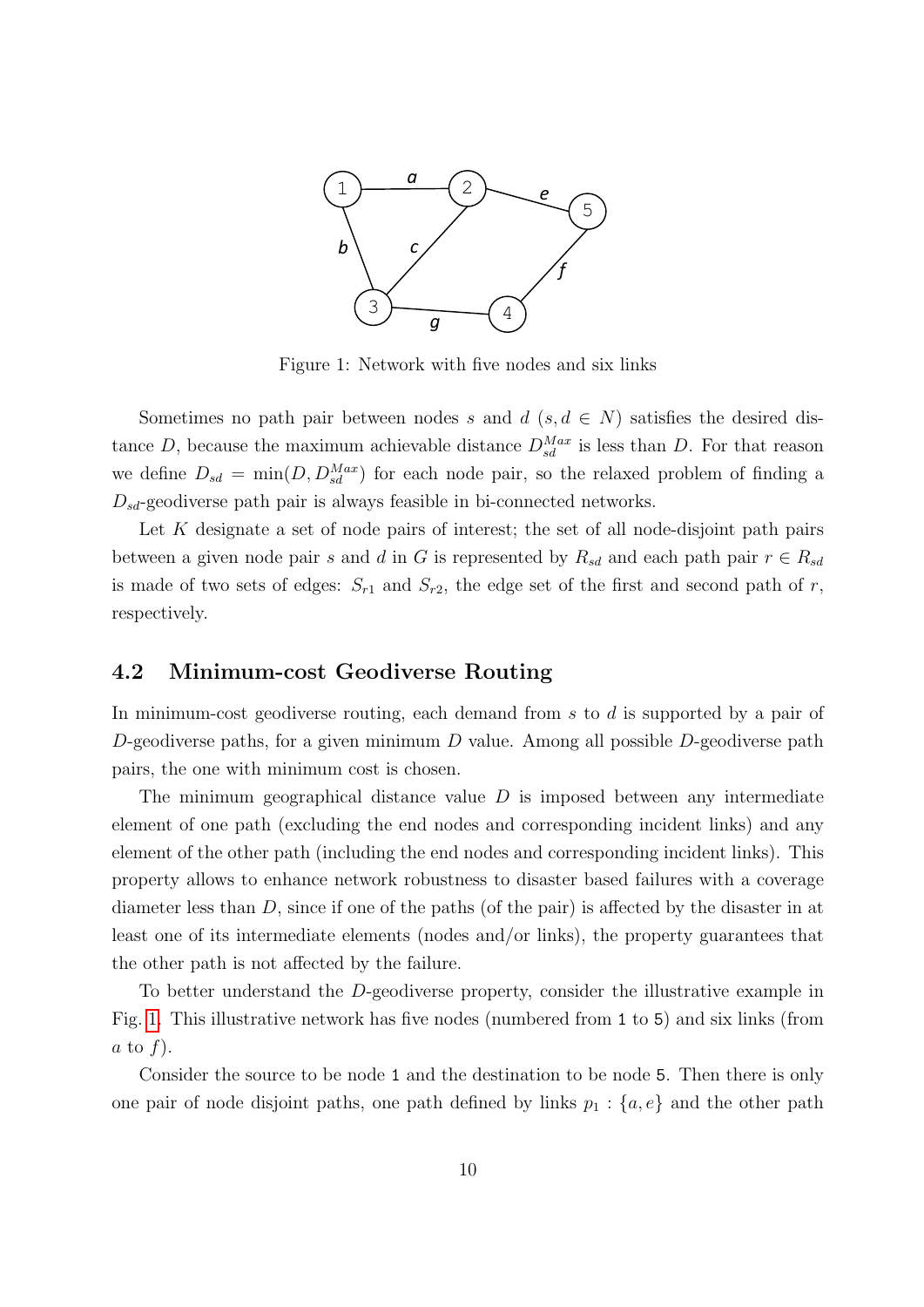<span id="page-9-1"></span>

Figure 1: Network with five nodes and six links

Sometimes no path pair between nodes s and d (s,  $d \in N$ ) satisfies the desired distance D, because the maximum achievable distance  $D_{sd}^{Max}$  is less than D. For that reason we define  $D_{sd} = \min(D, D_{sd}^{Max})$  for each node pair, so the relaxed problem of finding a  $D_{sd}$ -geodiverse path pair is always feasible in bi-connected networks.

Let  $K$  designate a set of node pairs of interest; the set of all node-disjoint path pairs between a given node pair s and d in G is represented by  $R_{sd}$  and each path pair  $r \in R_{sd}$ is made of two sets of edges:  $S_{r1}$  and  $S_{r2}$ , the edge set of the first and second path of r, respectively.

#### <span id="page-9-0"></span>4.2 Minimum-cost Geodiverse Routing

In minimum-cost geodiverse routing, each demand from s to d is supported by a pair of D-geodiverse paths, for a given minimum  $D$  value. Among all possible  $D$ -geodiverse path pairs, the one with minimum cost is chosen.

The minimum geographical distance value  $D$  is imposed between any intermediate element of one path (excluding the end nodes and corresponding incident links) and any element of the other path (including the end nodes and corresponding incident links). This property allows to enhance network robustness to disaster based failures with a coverage diameter less than D, since if one of the paths (of the pair) is affected by the disaster in at least one of its intermediate elements (nodes and/or links), the property guarantees that the other path is not affected by the failure.

To better understand the D-geodiverse property, consider the illustrative example in Fig. [1.](#page-9-1) This illustrative network has five nodes (numbered from 1 to 5) and six links (from  $a$  to  $f$ ).

Consider the source to be node 1 and the destination to be node 5. Then there is only one pair of node disjoint paths, one path defined by links  $p_1 : \{a, e\}$  and the other path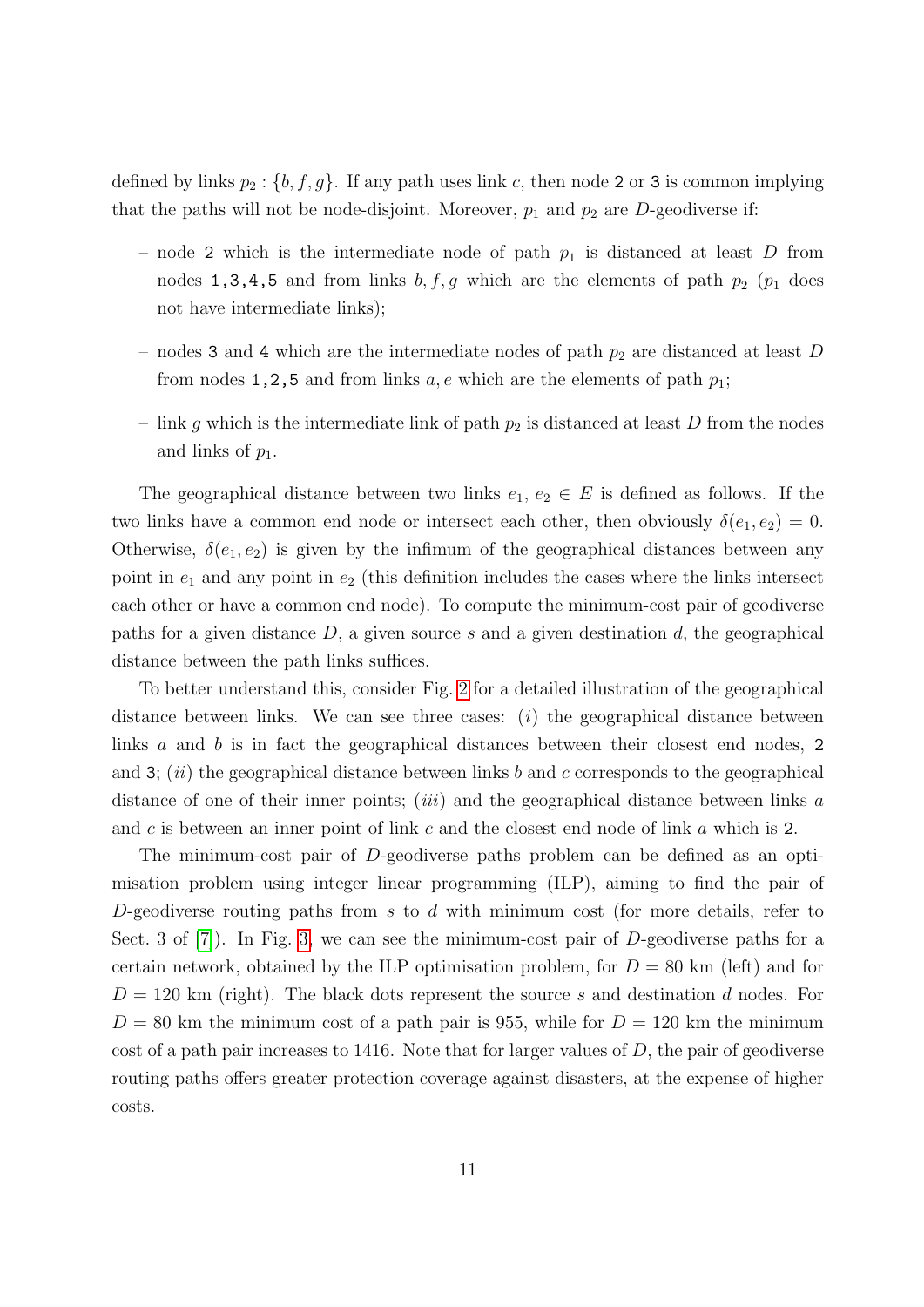defined by links  $p_2 : \{b, f, g\}$ . If any path uses link c, then node 2 or 3 is common implying that the paths will not be node-disjoint. Moreover,  $p_1$  and  $p_2$  are D-geodiverse if:

- node 2 which is the intermediate node of path  $p_1$  is distanced at least D from nodes 1,3,4,5 and from links  $b, f, g$  which are the elements of path  $p_2$  ( $p_1$  does not have intermediate links);
- nodes 3 and 4 which are the intermediate nodes of path  $p_2$  are distanced at least  $D$ from nodes 1,2,5 and from links  $a, e$  which are the elements of path  $p_1$ ;
- link g which is the intermediate link of path  $p_2$  is distanced at least D from the nodes and links of  $p_1$ .

The geographical distance between two links  $e_1, e_2 \in E$  is defined as follows. If the two links have a common end node or intersect each other, then obviously  $\delta(e_1, e_2) = 0$ . Otherwise,  $\delta(e_1, e_2)$  is given by the infimum of the geographical distances between any point in  $e_1$  and any point in  $e_2$  (this definition includes the cases where the links intersect each other or have a common end node). To compute the minimum-cost pair of geodiverse paths for a given distance  $D$ , a given source s and a given destination  $d$ , the geographical distance between the path links suffices.

To better understand this, consider Fig. [2](#page-11-0) for a detailed illustration of the geographical distance between links. We can see three cases:  $(i)$  the geographical distance between links a and b is in fact the geographical distances between their closest end nodes, 2 and 3;  $(ii)$  the geographical distance between links b and c corresponds to the geographical distance of one of their inner points; *(iii)* and the geographical distance between links  $\alpha$ and c is between an inner point of link c and the closest end node of link a which is 2.

The minimum-cost pair of D-geodiverse paths problem can be defined as an optimisation problem using integer linear programming (ILP), aiming to find the pair of D-geodiverse routing paths from s to d with minimum cost (for more details, refer to Sect. 3 of  $|7|$ . In Fig. [3,](#page-11-1) we can see the minimum-cost pair of D-geodiverse paths for a certain network, obtained by the ILP optimisation problem, for  $D = 80 \text{ km}$  (left) and for  $D = 120$  km (right). The black dots represent the source s and destination d nodes. For  $D = 80$  km the minimum cost of a path pair is 955, while for  $D = 120$  km the minimum cost of a path pair increases to 1416. Note that for larger values of  $D$ , the pair of geodiverse routing paths offers greater protection coverage against disasters, at the expense of higher costs.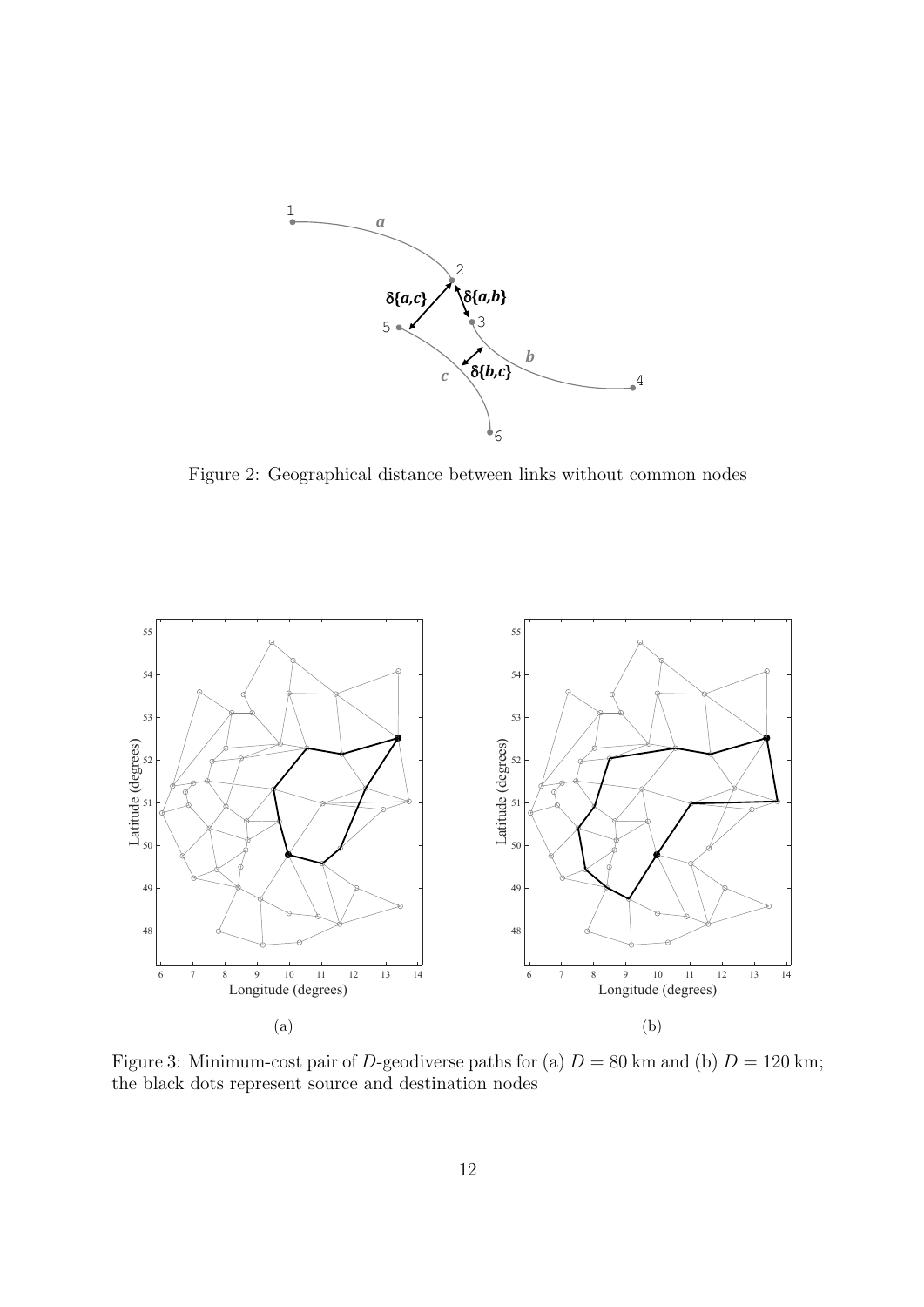<span id="page-11-0"></span>

Figure 2: Geographical distance between links without common nodes



<span id="page-11-1"></span>Figure 3: Minimum-cost pair of D-geodiverse paths for (a)  $D = 80$  km and (b)  $D = 120$  km; the black dots represent source and destination nodes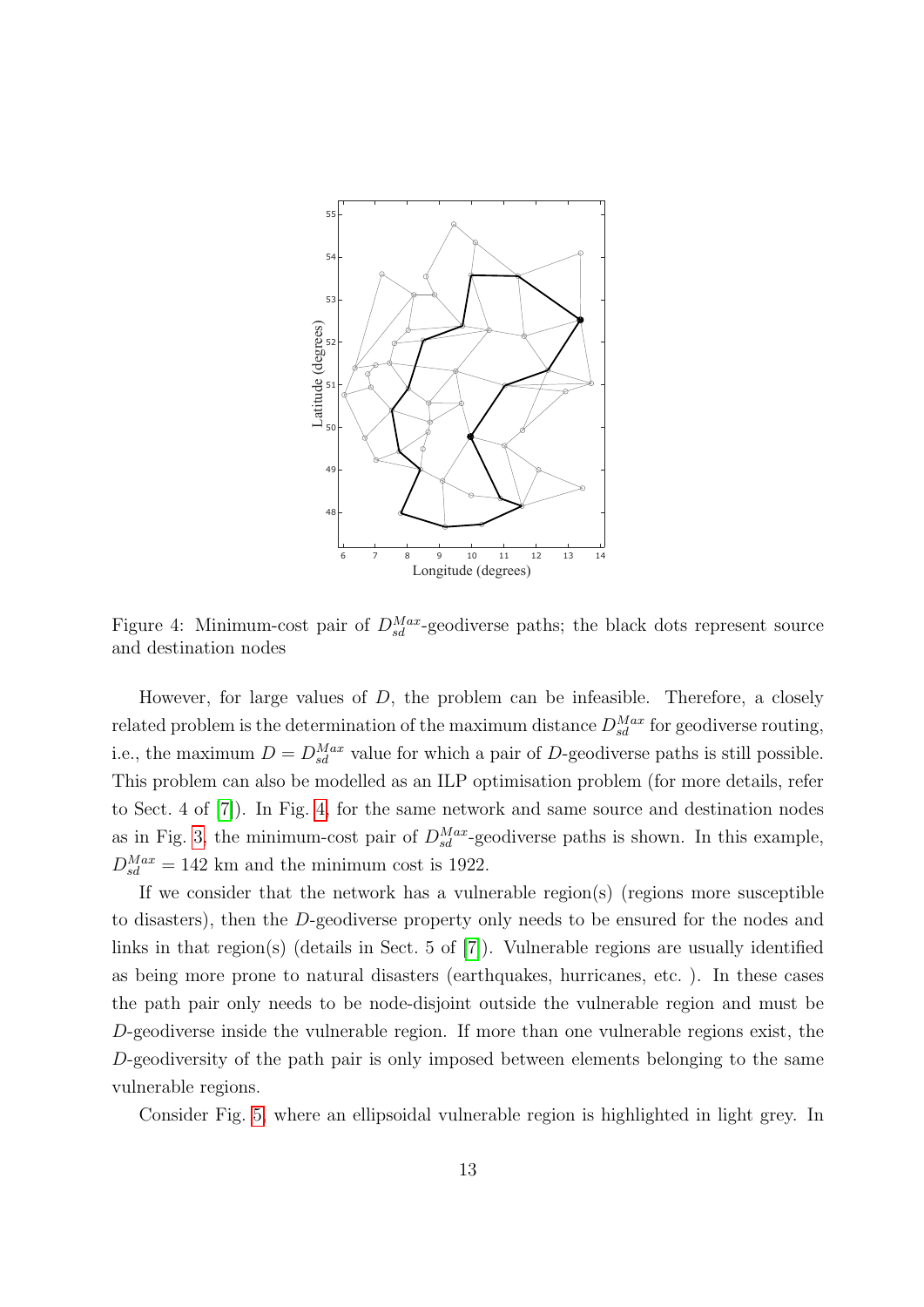<span id="page-12-0"></span>

Figure 4: Minimum-cost pair of  $D_{sd}^{Max}$ -geodiverse paths; the black dots represent source and destination nodes

However, for large values of  $D$ , the problem can be infeasible. Therefore, a closely related problem is the determination of the maximum distance  $D_{sd}^{Max}$  for geodiverse routing, i.e., the maximum  $D = D_{sd}^{Max}$  value for which a pair of D-geodiverse paths is still possible. This problem can also be modelled as an ILP optimisation problem (for more details, refer to Sect. 4 of [\[7\]](#page-26-2)). In Fig. [4,](#page-12-0) for the same network and same source and destination nodes as in Fig. [3,](#page-11-1) the minimum-cost pair of  $D_{sd}^{Max}$ -geodiverse paths is shown. In this example,  $D_{sd}^{Max} = 142$  km and the minimum cost is 1922.

If we consider that the network has a vulnerable region(s) (regions more susceptible to disasters), then the D-geodiverse property only needs to be ensured for the nodes and links in that region(s) (details in Sect. 5 of [\[7\]](#page-26-2)). Vulnerable regions are usually identified as being more prone to natural disasters (earthquakes, hurricanes, etc. ). In these cases the path pair only needs to be node-disjoint outside the vulnerable region and must be D-geodiverse inside the vulnerable region. If more than one vulnerable regions exist, the D-geodiversity of the path pair is only imposed between elements belonging to the same vulnerable regions.

Consider Fig. [5,](#page-13-0) where an ellipsoidal vulnerable region is highlighted in light grey. In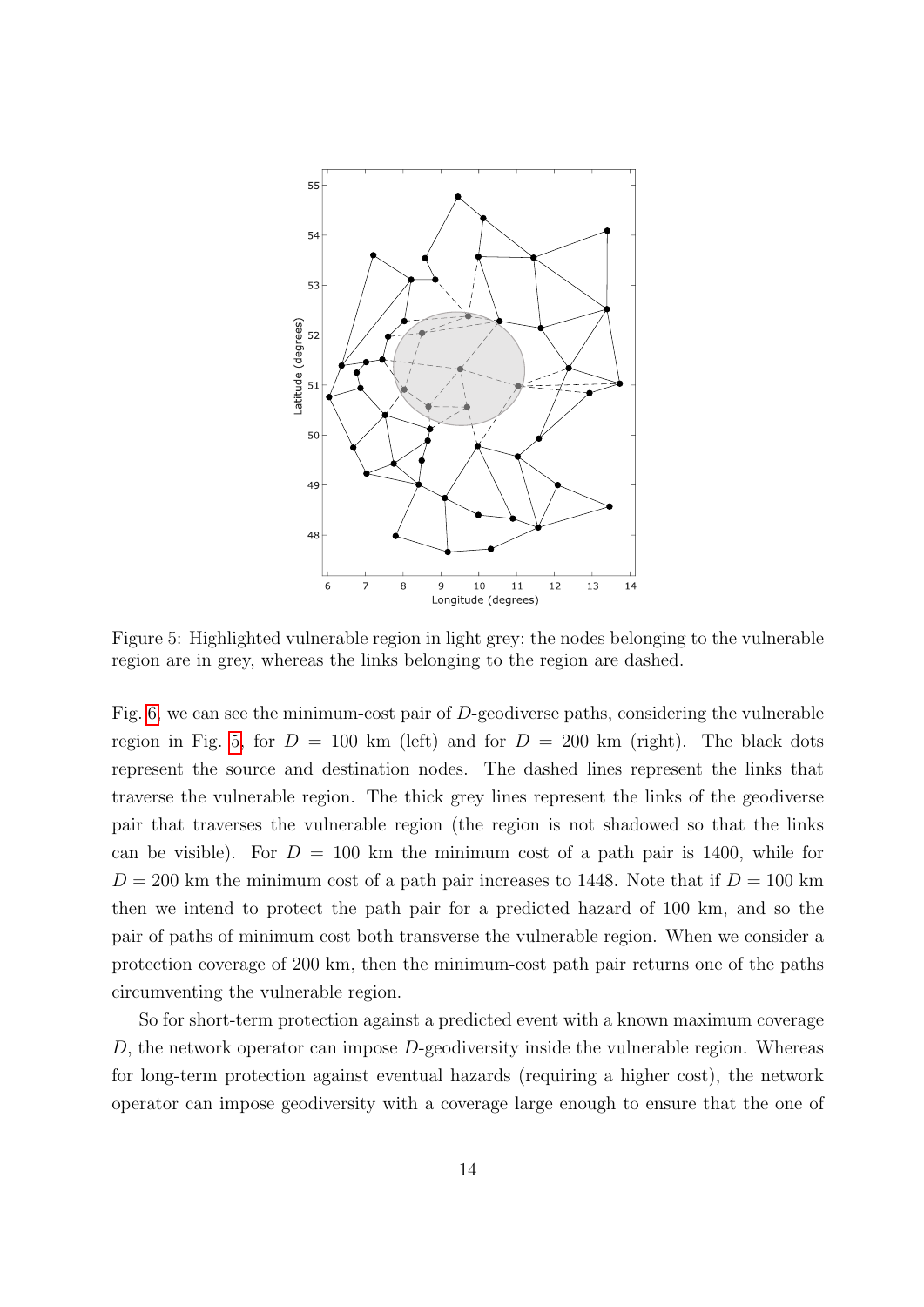

<span id="page-13-0"></span>Figure 5: Highlighted vulnerable region in light grey; the nodes belonging to the vulnerable region are in grey, whereas the links belonging to the region are dashed.

Fig. [6,](#page-14-1) we can see the minimum-cost pair of D-geodiverse paths, considering the vulnerable region in Fig. [5,](#page-13-0) for  $D = 100$  km (left) and for  $D = 200$  km (right). The black dots represent the source and destination nodes. The dashed lines represent the links that traverse the vulnerable region. The thick grey lines represent the links of the geodiverse pair that traverses the vulnerable region (the region is not shadowed so that the links can be visible). For  $D = 100$  km the minimum cost of a path pair is 1400, while for  $D = 200$  km the minimum cost of a path pair increases to 1448. Note that if  $D = 100$  km then we intend to protect the path pair for a predicted hazard of 100 km, and so the pair of paths of minimum cost both transverse the vulnerable region. When we consider a protection coverage of 200 km, then the minimum-cost path pair returns one of the paths circumventing the vulnerable region.

So for short-term protection against a predicted event with a known maximum coverage  $D$ , the network operator can impose  $D$ -geodiversity inside the vulnerable region. Whereas for long-term protection against eventual hazards (requiring a higher cost), the network operator can impose geodiversity with a coverage large enough to ensure that the one of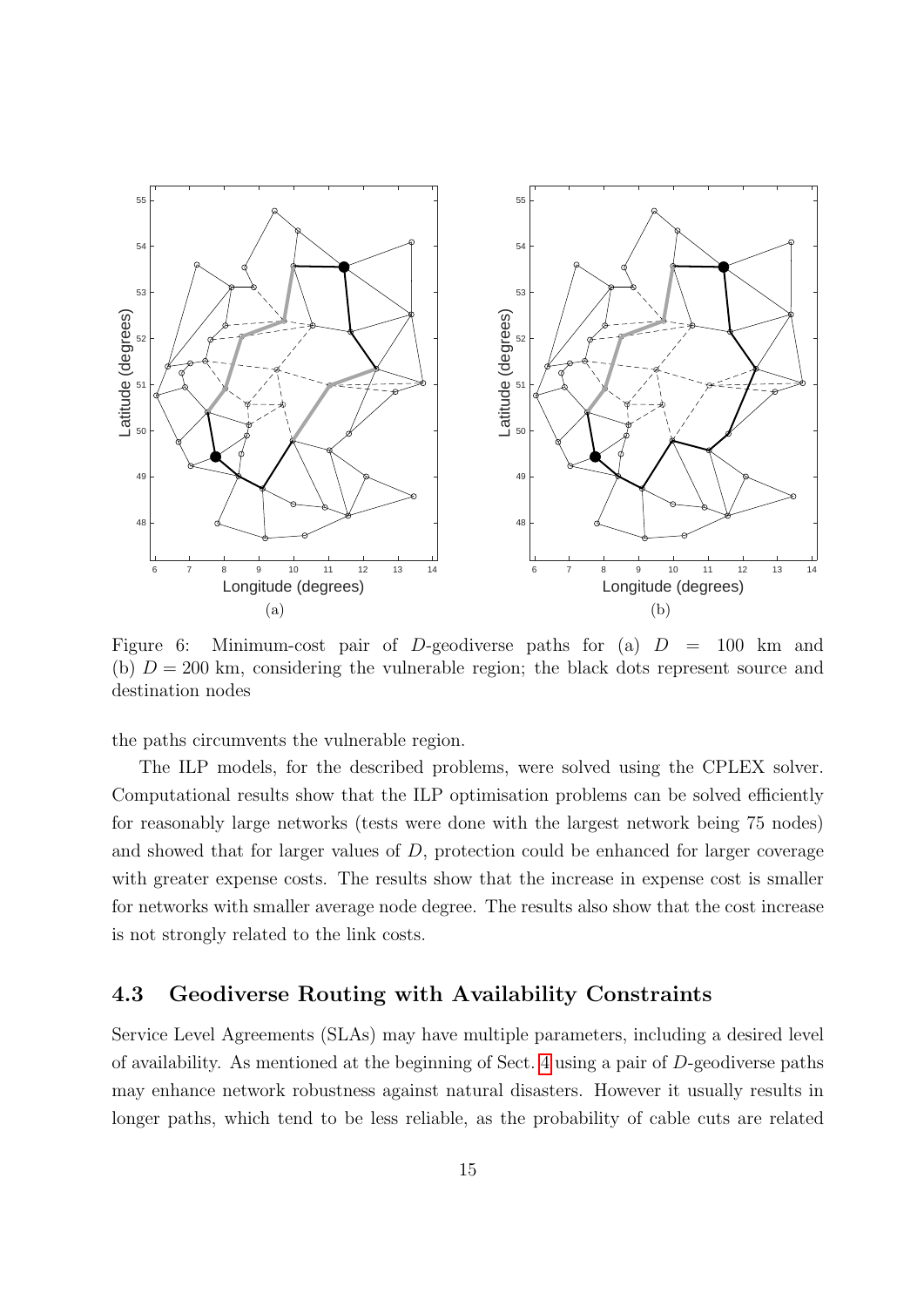

<span id="page-14-1"></span>Figure 6: Minimum-cost pair of D-geodiverse paths for (a)  $D = 100$  km and (b)  $D = 200$  km, considering the vulnerable region; the black dots represent source and destination nodes

the paths circumvents the vulnerable region.

The ILP models, for the described problems, were solved using the CPLEX solver. Computational results show that the ILP optimisation problems can be solved efficiently for reasonably large networks (tests were done with the largest network being 75 nodes) and showed that for larger values of D, protection could be enhanced for larger coverage with greater expense costs. The results show that the increase in expense cost is smaller for networks with smaller average node degree. The results also show that the cost increase is not strongly related to the link costs.

### <span id="page-14-0"></span>4.3 Geodiverse Routing with Availability Constraints

Service Level Agreements (SLAs) may have multiple parameters, including a desired level of availability. As mentioned at the beginning of Sect. [4](#page-8-0) using a pair of D-geodiverse paths may enhance network robustness against natural disasters. However it usually results in longer paths, which tend to be less reliable, as the probability of cable cuts are related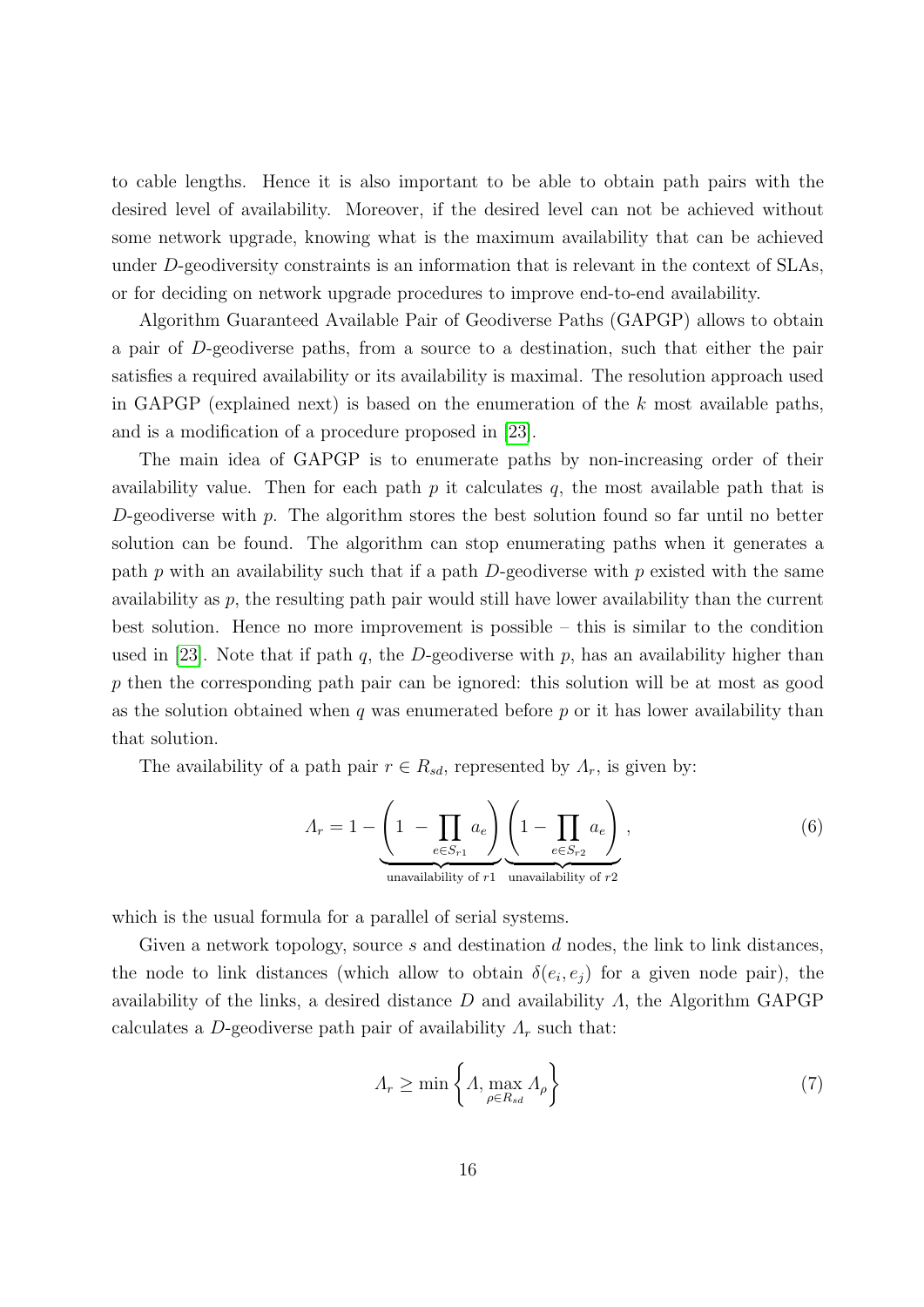to cable lengths. Hence it is also important to be able to obtain path pairs with the desired level of availability. Moreover, if the desired level can not be achieved without some network upgrade, knowing what is the maximum availability that can be achieved under D-geodiversity constraints is an information that is relevant in the context of SLAs, or for deciding on network upgrade procedures to improve end-to-end availability.

Algorithm Guaranteed Available Pair of Geodiverse Paths (GAPGP) allows to obtain a pair of D-geodiverse paths, from a source to a destination, such that either the pair satisfies a required availability or its availability is maximal. The resolution approach used in GAPGP (explained next) is based on the enumeration of the  $k$  most available paths. and is a modification of a procedure proposed in [\[23\]](#page-27-8).

The main idea of GAPGP is to enumerate paths by non-increasing order of their availability value. Then for each path  $p$  it calculates  $q$ , the most available path that is D-geodiverse with  $p$ . The algorithm stores the best solution found so far until no better solution can be found. The algorithm can stop enumerating paths when it generates a path p with an availability such that if a path  $D$ -geodiverse with p existed with the same availability as  $p$ , the resulting path pair would still have lower availability than the current best solution. Hence no more improvement is possible – this is similar to the condition used in [\[23\]](#page-27-8). Note that if path q, the D-geodiverse with  $p$ , has an availability higher than p then the corresponding path pair can be ignored: this solution will be at most as good as the solution obtained when  $q$  was enumerated before  $p$  or it has lower availability than that solution.

The availability of a path pair  $r \in R_{sd}$ , represented by  $\Lambda_r$ , is given by:

$$
\Lambda_r = 1 - \underbrace{\left(1 - \prod_{e \in S_{r1}} a_e\right)}_{\text{unavailability of } r1} \underbrace{\left(1 - \prod_{e \in S_{r2}} a_e\right)}_{\text{unavailability of } r2}, \qquad (6)
$$

which is the usual formula for a parallel of serial systems.

<span id="page-15-0"></span>Given a network topology, source s and destination  $d$  nodes, the link to link distances, the node to link distances (which allow to obtain  $\delta(e_i, e_j)$  for a given node pair), the availability of the links, a desired distance D and availability  $\Lambda$ , the Algorithm GAPGP calculates a D-geodiverse path pair of availability  $\Lambda_r$  such that:

$$
A_r \ge \min\left\{A, \max_{\rho \in R_{sd}} A_\rho\right\} \tag{7}
$$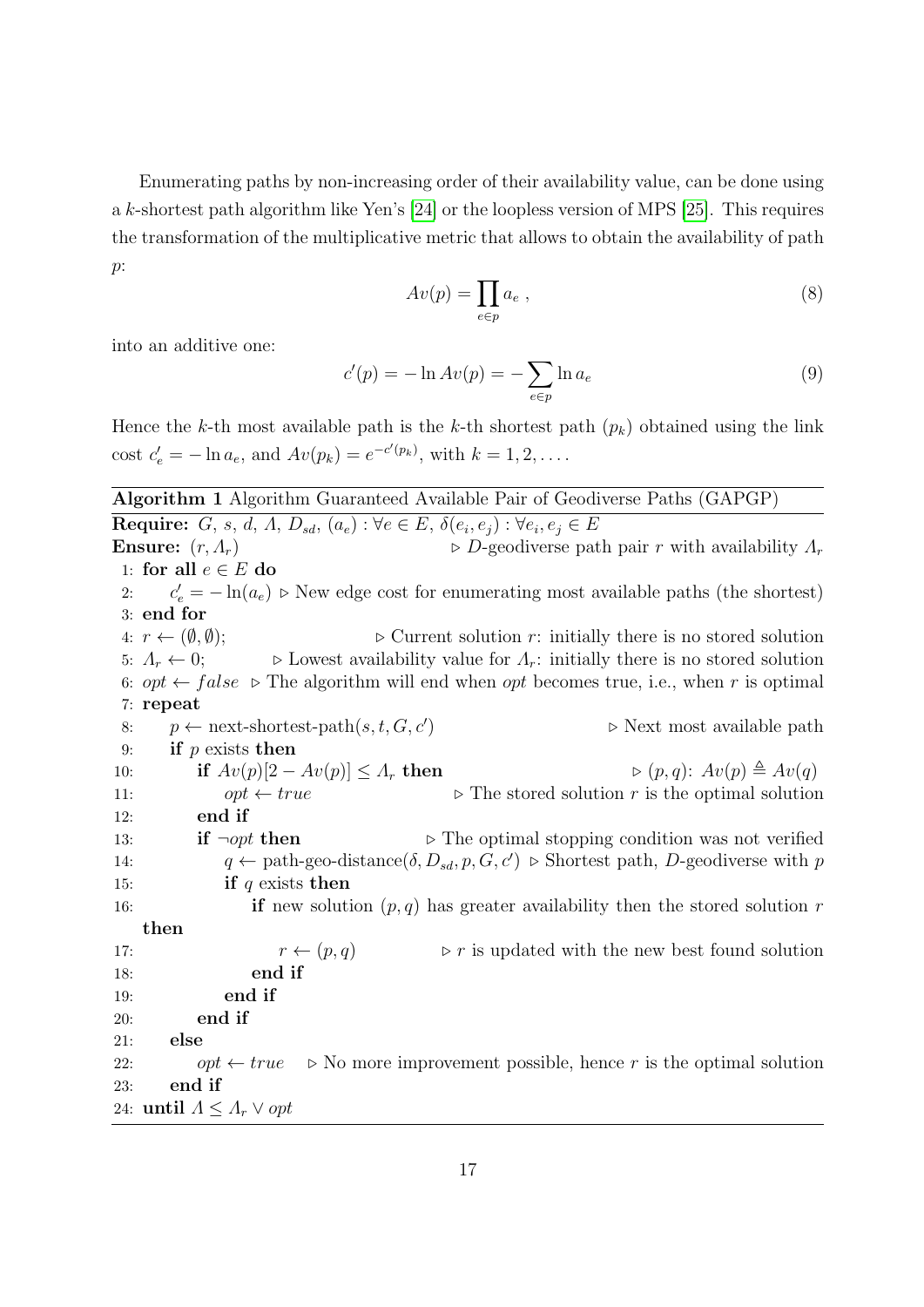Enumerating paths by non-increasing order of their availability value, can be done using a k-shortest path algorithm like Yen's [\[24\]](#page-27-9) or the loopless version of MPS [\[25\]](#page-28-0). This requires the transformation of the multiplicative metric that allows to obtain the availability of path p:

$$
Av(p) = \prod_{e \in p} a_e , \qquad (8)
$$

into an additive one:

$$
c'(p) = -\ln Av(p) = -\sum_{e \in p} \ln a_e \tag{9}
$$

Hence the k-th most available path is the k-th shortest path  $(p_k)$  obtained using the link cost  $c'_e = -\ln a_e$ , and  $Av(p_k) = e^{-c'(p_k)}$ , with  $k = 1, 2, \dots$ .

<span id="page-16-0"></span>

| Algorithm 1 Algorithm Guaranteed Available Pair of Geodiverse Paths (GAPGP)                                                           |
|---------------------------------------------------------------------------------------------------------------------------------------|
| <b>Require:</b> G, s, d, $\Lambda$ , $D_{sd}$ , $(a_e)$ : $\forall e \in E$ , $\delta(e_i, e_j)$ : $\forall e_i, e_j \in E$           |
| <b>Ensure:</b> $(r, \Lambda_r)$<br>$\triangleright$ D-geodiverse path pair r with availability $\Lambda_r$                            |
| 1: for all $e \in E$ do                                                                                                               |
| 2: $c'_e = -\ln(a_e)$ $\triangleright$ New edge cost for enumerating most available paths (the shortest)                              |
| $3:$ end for                                                                                                                          |
| 4: $r \leftarrow (\emptyset, \emptyset);$<br>$\triangleright$ Current solution r: initially there is no stored solution               |
| 5: $A_r \leftarrow 0$ ; $\triangleright$ Lowest availability value for $A_r$ : initially there is no stored solution                  |
| 6: $opt \leftarrow false \geq$ The algorithm will end when <i>opt</i> becomes true, i.e., when r is optimal                           |
| 7: repeat                                                                                                                             |
| $p \leftarrow$ next-shortest-path $(s, t, G, c')$<br>$\triangleright$ Next most available path<br>8:                                  |
| if $p$ exists then<br>9:                                                                                                              |
| $\triangleright$ $(p,q)$ : $Av(p) \triangleq Av(q)$<br>if $Av(p)[2 - Av(p)] \leq \Lambda_r$ then<br>10:                               |
| $opt \leftarrow true$<br>$\triangleright$ The stored solution r is the optimal solution<br>11:                                        |
| end if<br>12:                                                                                                                         |
| if $\neg opt$ then<br>$\triangleright$ The optimal stopping condition was not verified<br>13:                                         |
| $q \leftarrow$ path-geo-distance( $\delta$ , $D_{sd}$ , $p$ , $G$ , $c'$ ) $\triangleright$ Shortest path, D-geodiverse with p<br>14: |
| if $q$ exists then<br>15:                                                                                                             |
| <b>if</b> new solution $(p, q)$ has greater availability then the stored solution r<br>16:                                            |
| then                                                                                                                                  |
| $r \leftarrow (p, q)$<br>$\triangleright$ r is updated with the new best found solution<br>17:                                        |
| end if<br>18:                                                                                                                         |
| end if<br>19:                                                                                                                         |
| end if<br>20:                                                                                                                         |
| else<br>21:                                                                                                                           |
| $\triangleright$ No more improvement possible, hence r is the optimal solution<br>22:<br>$opt \leftarrow true$                        |
| end if<br>23:                                                                                                                         |
| 24: <b>until</b> $\Lambda \leq \Lambda_r \vee opt$                                                                                    |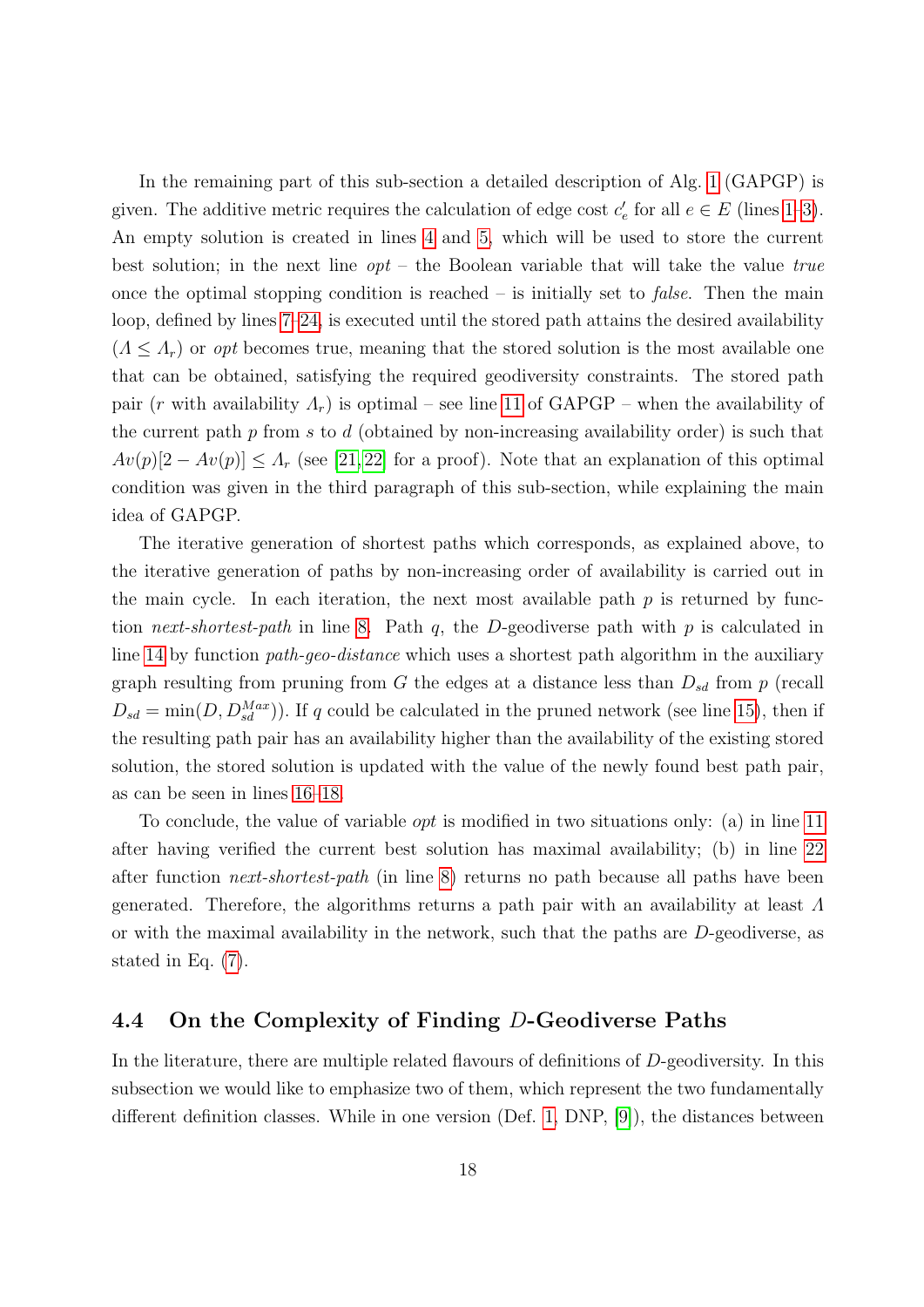In the remaining part of this sub-section a detailed description of Alg. [1](#page-16-0) (GAPGP) is given. The additive metric requires the calculation of edge cost  $c'_{e}$  for all  $e \in E$  (lines [1–3\)](#page-16-0). An empty solution is created in lines [4](#page-16-0) and [5,](#page-16-0) which will be used to store the current best solution; in the next line  $opt$  – the Boolean variable that will take the value true once the optimal stopping condition is reached  $-$  is initially set to *false*. Then the main loop, defined by lines [7–24,](#page-16-0) is executed until the stored path attains the desired availability  $(A \leq A_r)$  or *opt* becomes true, meaning that the stored solution is the most available one that can be obtained, satisfying the required geodiversity constraints. The stored path pair (r with availability  $\Lambda_r$ ) is optimal – see line [11](#page-16-0) of GAPGP – when the availability of the current path  $p$  from  $s$  to  $d$  (obtained by non-increasing availability order) is such that  $Av(p)[2 - Av(p)] \leq \Lambda_r$  (see [\[21,](#page-27-6) [22\]](#page-27-7) for a proof). Note that an explanation of this optimal condition was given in the third paragraph of this sub-section, while explaining the main idea of GAPGP.

The iterative generation of shortest paths which corresponds, as explained above, to the iterative generation of paths by non-increasing order of availability is carried out in the main cycle. In each iteration, the next most available path  $p$  is returned by function *next-shortest-path* in line [8.](#page-16-0) Path  $q$ , the D-geodiverse path with  $p$  is calculated in line [14](#page-16-0) by function path-geo-distance which uses a shortest path algorithm in the auxiliary graph resulting from pruning from G the edges at a distance less than  $D_{sd}$  from p (recall  $D_{sd} = \min(D, D_{sd}^{Max})$ . If q could be calculated in the pruned network (see line [15\)](#page-16-0), then if the resulting path pair has an availability higher than the availability of the existing stored solution, the stored solution is updated with the value of the newly found best path pair, as can be seen in lines [16–18.](#page-16-0)

To conclude, the value of variable opt is modified in two situations only: (a) in line [11](#page-16-0) after having verified the current best solution has maximal availability; (b) in line [22](#page-16-0) after function next-shortest-path (in line [8\)](#page-16-0) returns no path because all paths have been generated. Therefore, the algorithms returns a path pair with an availability at least Λ or with the maximal availability in the network, such that the paths are D-geodiverse, as stated in Eq. [\(7\)](#page-15-0).

### 4.4 On the Complexity of Finding D-Geodiverse Paths

In the literature, there are multiple related flavours of definitions of D-geodiversity. In this subsection we would like to emphasize two of them, which represent the two fundamentally different definition classes. While in one version (Def. [1,](#page-18-1) DNP, [\[9\]](#page-26-4)), the distances between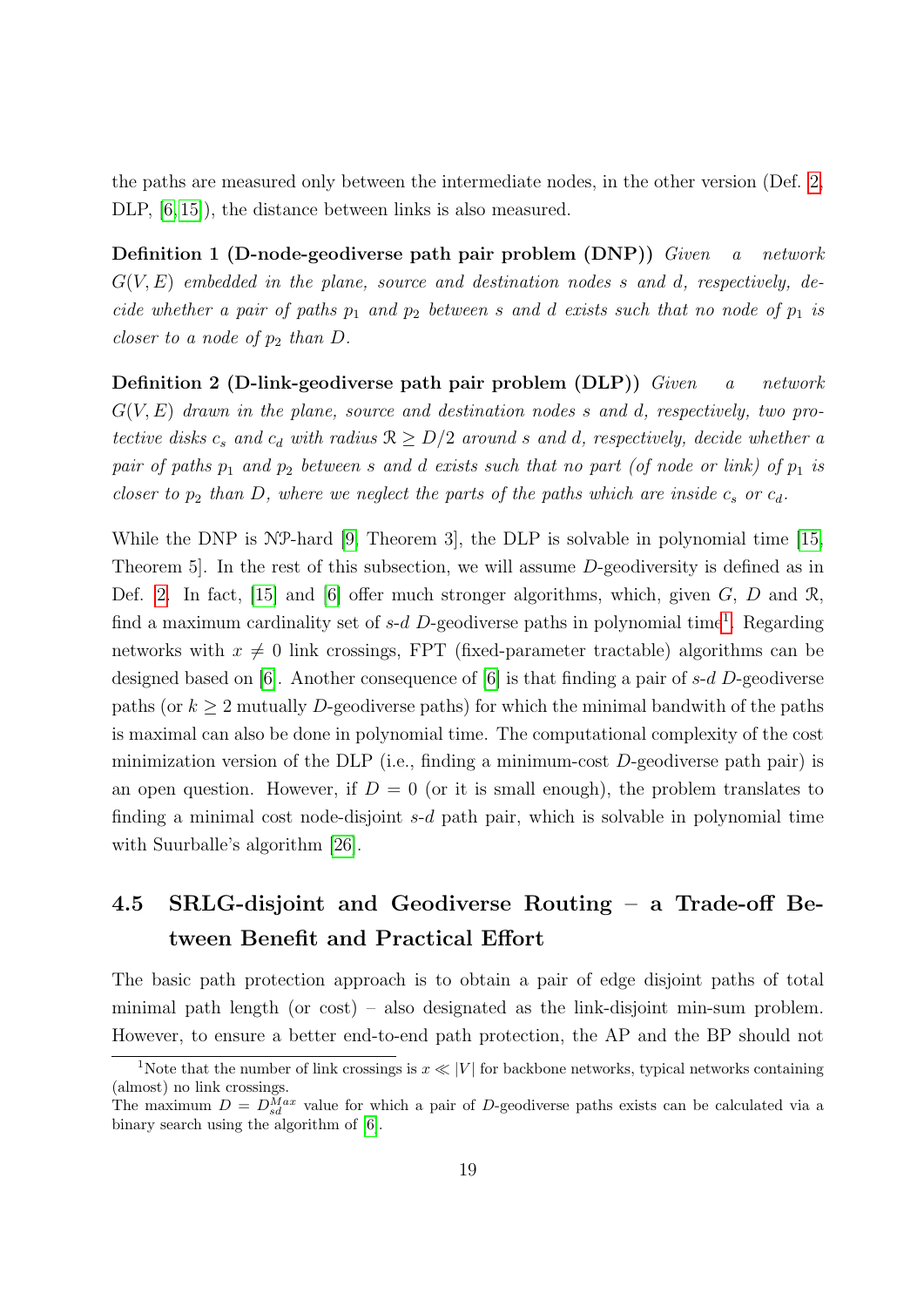the paths are measured only between the intermediate nodes, in the other version (Def. [2,](#page-18-2) DLP,  $[6, 15]$  $[6, 15]$ , the distance between links is also measured.

<span id="page-18-1"></span>Definition 1 (D-node-geodiverse path pair problem (DNP)) Given a network  $G(V, E)$  embedded in the plane, source and destination nodes s and d, respectively, decide whether a pair of paths  $p_1$  and  $p_2$  between s and d exists such that no node of  $p_1$  is closer to a node of  $p_2$  than D.

<span id="page-18-2"></span>Definition 2 (D-link-geodiverse path pair problem (DLP)) Given a network  $G(V, E)$  drawn in the plane, source and destination nodes s and d, respectively, two protective disks  $c_s$  and  $c_d$  with radius  $\mathcal{R} \geq D/2$  around s and d, respectively, decide whether a pair of paths  $p_1$  and  $p_2$  between s and d exists such that no part (of node or link) of  $p_1$  is closer to  $p_2$  than D, where we neglect the parts of the paths which are inside  $c_s$  or  $c_d$ .

While the DNP is NP-hard [\[9,](#page-26-4) Theorem 3], the DLP is solvable in polynomial time [\[15,](#page-27-0) Theorem 5]. In the rest of this subsection, we will assume D-geodiversity is defined as in Def. [2.](#page-18-2) In fact, [\[15\]](#page-27-0) and [\[6\]](#page-26-1) offer much stronger algorithms, which, given  $G, D$  and  $\Re$ , find a maximum cardinality set of  $s$ -d D-geodiverse paths in polynomial time<sup>[1](#page-0-0)</sup>. Regarding networks with  $x \neq 0$  link crossings, FPT (fixed-parameter tractable) algorithms can be designed based on [\[6\]](#page-26-1). Another consequence of [6] is that finding a pair of  $s-d$  D-geodiverse paths (or  $k \geq 2$  mutually D-geodiverse paths) for which the minimal bandwith of the paths is maximal can also be done in polynomial time. The computational complexity of the cost minimization version of the DLP (i.e., finding a minimum-cost  $D$ -geodiverse path pair) is an open question. However, if  $D = 0$  (or it is small enough), the problem translates to finding a minimal cost node-disjoint  $s-d$  path pair, which is solvable in polynomial time with Suurballe's algorithm [\[26\]](#page-28-1).

## <span id="page-18-0"></span>4.5 SRLG-disjoint and Geodiverse Routing – a Trade-off Between Benefit and Practical Effort

The basic path protection approach is to obtain a pair of edge disjoint paths of total minimal path length (or cost) – also designated as the link-disjoint min-sum problem. However, to ensure a better end-to-end path protection, the AP and the BP should not

<sup>&</sup>lt;sup>1</sup>Note that the number of link crossings is  $x \ll |V|$  for backbone networks, typical networks containing (almost) no link crossings.

The maximum  $D = D_{sd}^{Max}$  value for which a pair of D-geodiverse paths exists can be calculated via a binary search using the algorithm of [\[6\]](#page-26-1).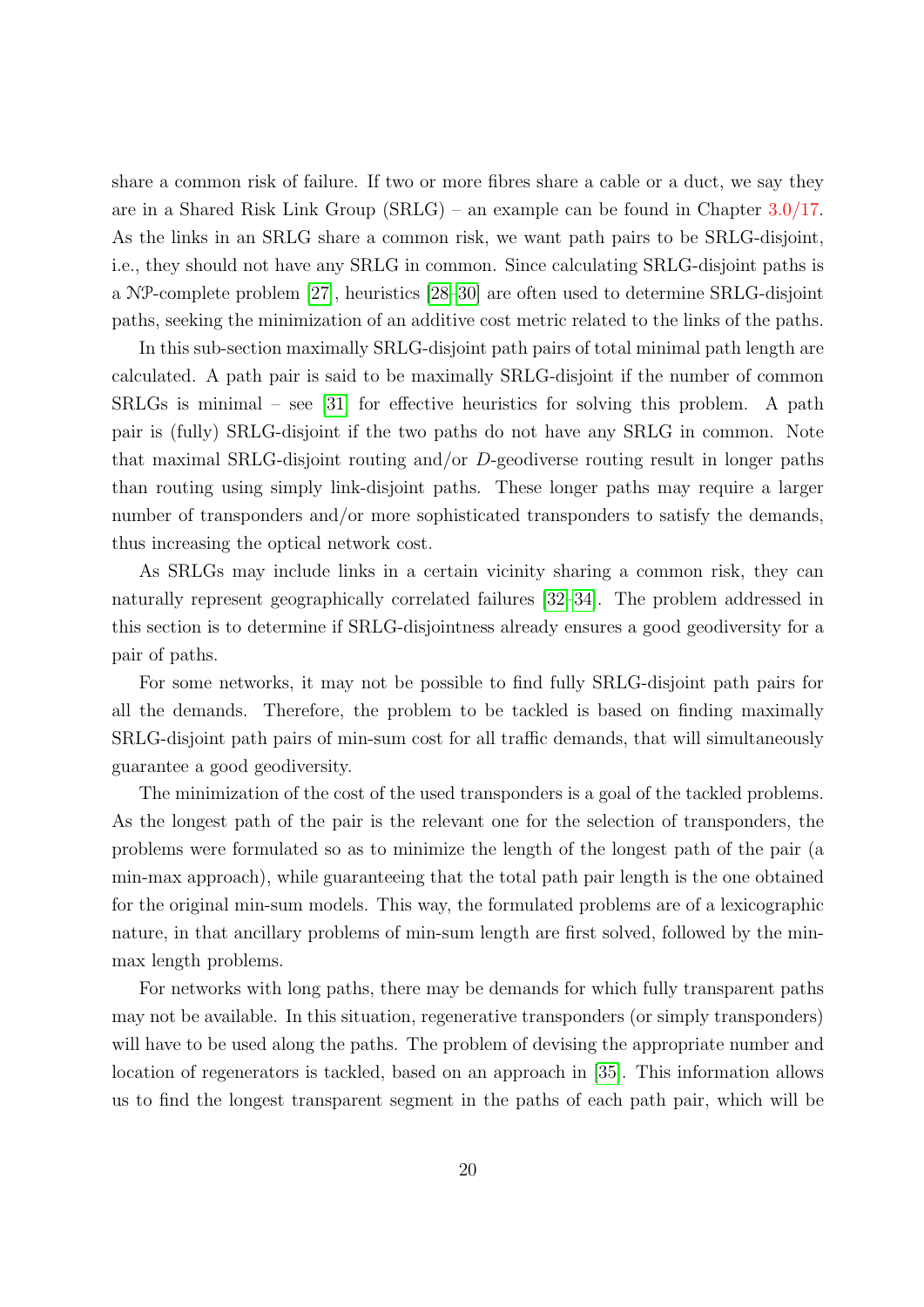share a common risk of failure. If two or more fibres share a cable or a duct, we say they are in a Shared Risk Link Group (SRLG) – an example can be found in Chapter 3.0/17. As the links in an SRLG share a common risk, we want path pairs to be SRLG-disjoint, i.e., they should not have any SRLG in common. Since calculating SRLG-disjoint paths is a NP-complete problem [\[27\]](#page-28-2), heuristics [\[28](#page-28-3)[–30\]](#page-28-4) are often used to determine SRLG-disjoint paths, seeking the minimization of an additive cost metric related to the links of the paths.

In this sub-section maximally SRLG-disjoint path pairs of total minimal path length are calculated. A path pair is said to be maximally SRLG-disjoint if the number of common SRLGs is minimal – see [\[31\]](#page-28-5) for effective heuristics for solving this problem. A path pair is (fully) SRLG-disjoint if the two paths do not have any SRLG in common. Note that maximal SRLG-disjoint routing and/or D-geodiverse routing result in longer paths than routing using simply link-disjoint paths. These longer paths may require a larger number of transponders and/or more sophisticated transponders to satisfy the demands, thus increasing the optical network cost.

As SRLGs may include links in a certain vicinity sharing a common risk, they can naturally represent geographically correlated failures [\[32–](#page-28-6)[34\]](#page-28-7). The problem addressed in this section is to determine if SRLG-disjointness already ensures a good geodiversity for a pair of paths.

For some networks, it may not be possible to find fully SRLG-disjoint path pairs for all the demands. Therefore, the problem to be tackled is based on finding maximally SRLG-disjoint path pairs of min-sum cost for all traffic demands, that will simultaneously guarantee a good geodiversity.

The minimization of the cost of the used transponders is a goal of the tackled problems. As the longest path of the pair is the relevant one for the selection of transponders, the problems were formulated so as to minimize the length of the longest path of the pair (a min-max approach), while guaranteeing that the total path pair length is the one obtained for the original min-sum models. This way, the formulated problems are of a lexicographic nature, in that ancillary problems of min-sum length are first solved, followed by the minmax length problems.

For networks with long paths, there may be demands for which fully transparent paths may not be available. In this situation, regenerative transponders (or simply transponders) will have to be used along the paths. The problem of devising the appropriate number and location of regenerators is tackled, based on an approach in [\[35\]](#page-29-0). This information allows us to find the longest transparent segment in the paths of each path pair, which will be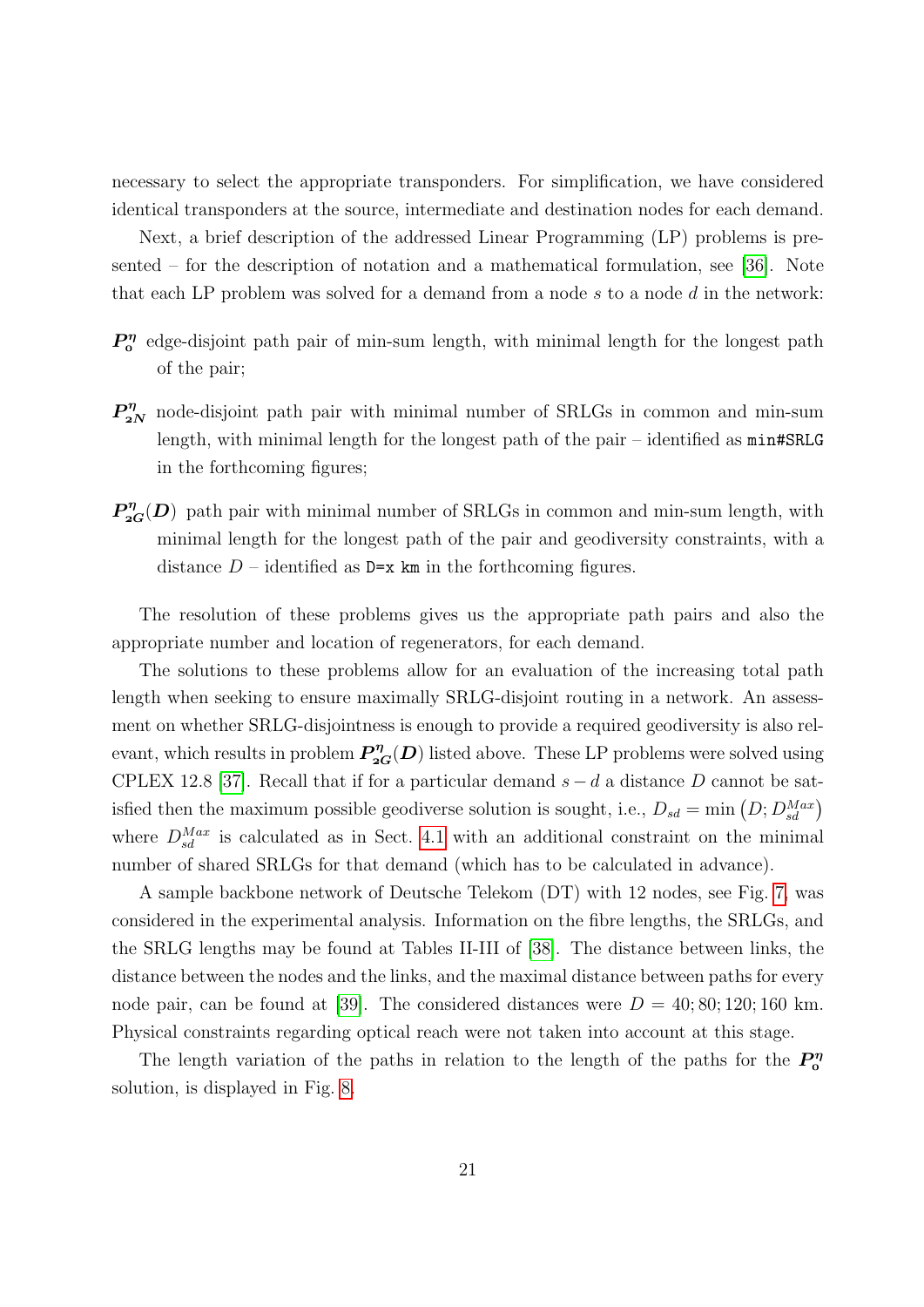necessary to select the appropriate transponders. For simplification, we have considered identical transponders at the source, intermediate and destination nodes for each demand.

Next, a brief description of the addressed Linear Programming (LP) problems is presented – for the description of notation and a mathematical formulation, see [\[36\]](#page-29-1). Note that each LP problem was solved for a demand from a node  $s$  to a node  $d$  in the network:

- $P_0^{\eta}$  edge-disjoint path pair of min-sum length, with minimal length for the longest path of the pair;
- $P_{2N}^{\eta}$  node-disjoint path pair with minimal number of SRLGs in common and min-sum length, with minimal length for the longest path of the pair – identified as min#SRLG in the forthcoming figures;
- $P_{2G}^{\eta}(D)$  path pair with minimal number of SRLGs in common and min-sum length, with minimal length for the longest path of the pair and geodiversity constraints, with a distance  $D$  – identified as  $D=x$  km in the forthcoming figures.

The resolution of these problems gives us the appropriate path pairs and also the appropriate number and location of regenerators, for each demand.

The solutions to these problems allow for an evaluation of the increasing total path length when seeking to ensure maximally SRLG-disjoint routing in a network. An assessment on whether SRLG-disjointness is enough to provide a required geodiversity is also relevant, which results in problem  $P_{2G}^{\eta}(D)$  listed above. These LP problems were solved using CPLEX 12.8 [\[37\]](#page-29-2). Recall that if for a particular demand  $s - d$  a distance D cannot be satisfied then the maximum possible geodiverse solution is sought, i.e.,  $D_{sd} = \min (D; D_{sd}^{Max})$ where  $D_{sd}^{Max}$  is calculated as in Sect. [4.1](#page-8-1) with an additional constraint on the minimal number of shared SRLGs for that demand (which has to be calculated in advance).

A sample backbone network of Deutsche Telekom (DT) with 12 nodes, see Fig. [7,](#page-21-0) was considered in the experimental analysis. Information on the fibre lengths, the SRLGs, and the SRLG lengths may be found at Tables II-III of [\[38\]](#page-29-3). The distance between links, the distance between the nodes and the links, and the maximal distance between paths for every node pair, can be found at [\[39\]](#page-29-4). The considered distances were  $D = 40; 80; 120; 160$  km. Physical constraints regarding optical reach were not taken into account at this stage.

The length variation of the paths in relation to the length of the paths for the  $P_0^{\eta}$ solution, is displayed in Fig. [8.](#page-21-1)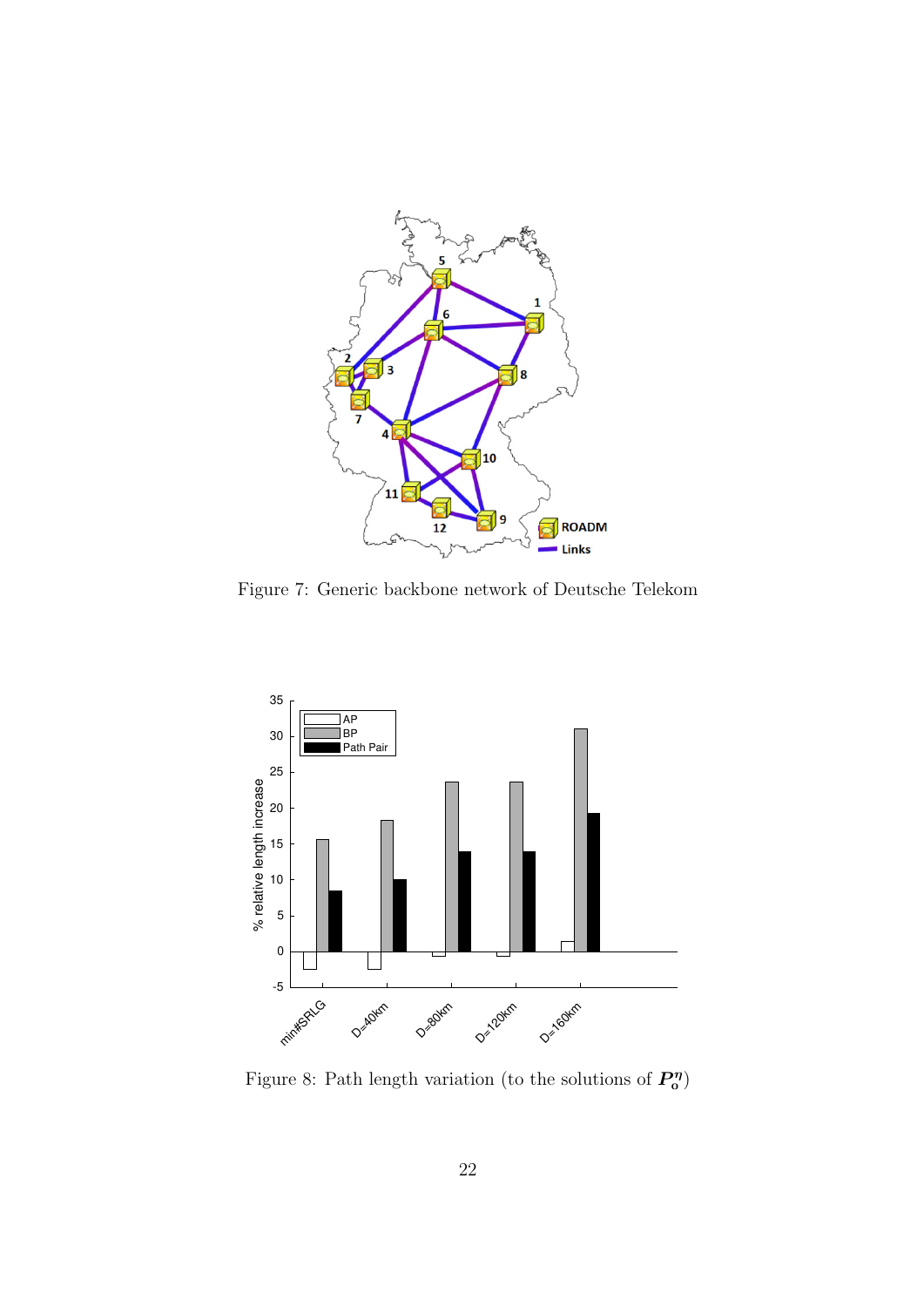

<span id="page-21-0"></span>Figure 7: Generic backbone network of Deutsche Telekom



<span id="page-21-1"></span>Figure 8: Path length variation (to the solutions of  $P_0^{\eta}$ )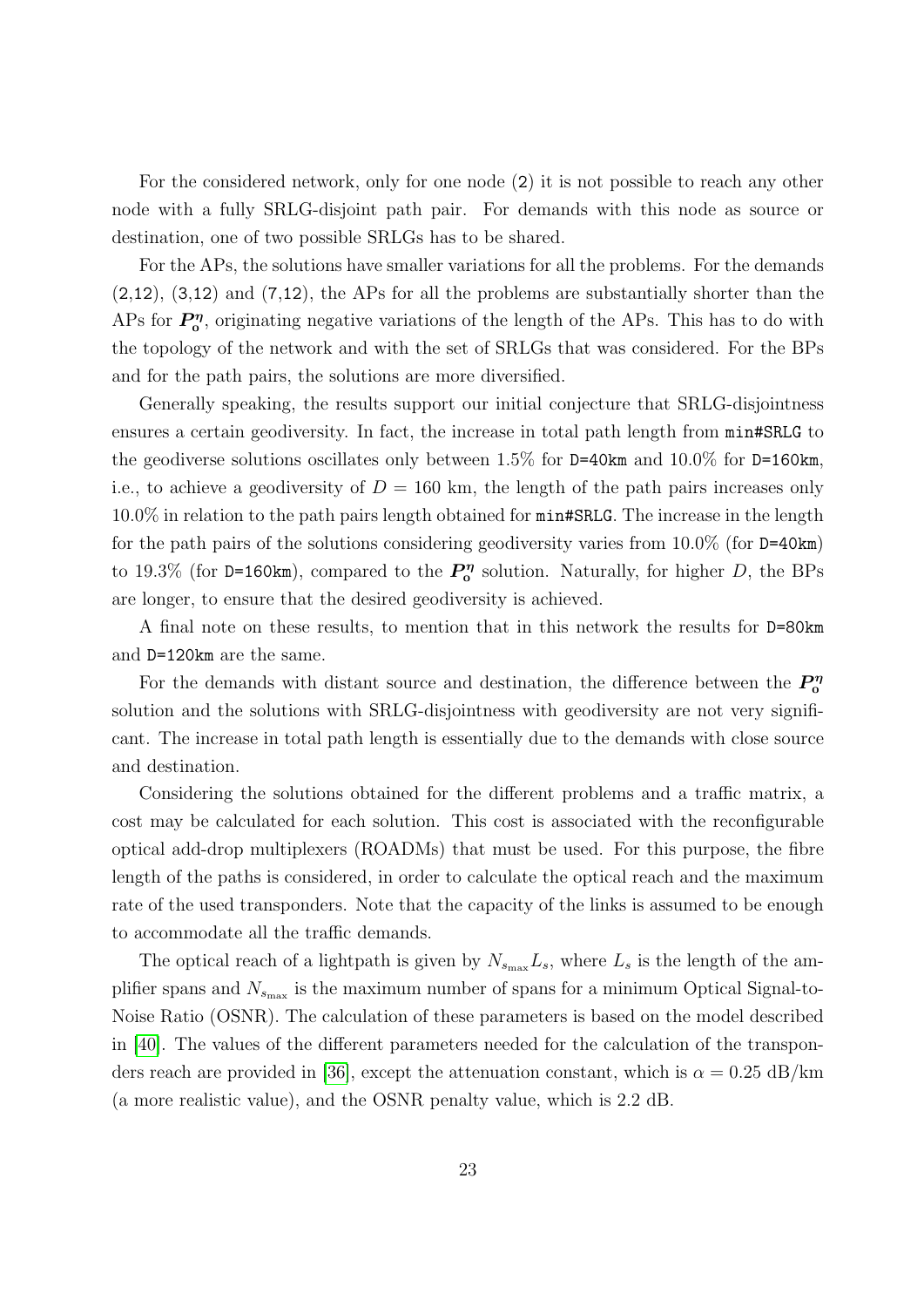For the considered network, only for one node (2) it is not possible to reach any other node with a fully SRLG-disjoint path pair. For demands with this node as source or destination, one of two possible SRLGs has to be shared.

For the APs, the solutions have smaller variations for all the problems. For the demands  $(2,12)$ ,  $(3,12)$  and  $(7,12)$ , the APs for all the problems are substantially shorter than the APs for  $P_0^{\eta}$ , originating negative variations of the length of the APs. This has to do with the topology of the network and with the set of SRLGs that was considered. For the BPs and for the path pairs, the solutions are more diversified.

Generally speaking, the results support our initial conjecture that SRLG-disjointness ensures a certain geodiversity. In fact, the increase in total path length from min#SRLG to the geodiverse solutions oscillates only between 1.5% for  $D=40$ km and 10.0% for  $D=160$ km. i.e., to achieve a geodiversity of  $D = 160$  km, the length of the path pairs increases only 10.0% in relation to the path pairs length obtained for min#SRLG. The increase in the length for the path pairs of the solutions considering geodiversity varies from 10.0% (for D=40km) to 19.3% (for D=160km), compared to the  $P_0^{\eta}$  solution. Naturally, for higher D, the BPs are longer, to ensure that the desired geodiversity is achieved.

A final note on these results, to mention that in this network the results for D=80km and D=120km are the same.

For the demands with distant source and destination, the difference between the  $P_0^{\eta}$ solution and the solutions with SRLG-disjointness with geodiversity are not very significant. The increase in total path length is essentially due to the demands with close source and destination.

Considering the solutions obtained for the different problems and a traffic matrix, a cost may be calculated for each solution. This cost is associated with the reconfigurable optical add-drop multiplexers (ROADMs) that must be used. For this purpose, the fibre length of the paths is considered, in order to calculate the optical reach and the maximum rate of the used transponders. Note that the capacity of the links is assumed to be enough to accommodate all the traffic demands.

The optical reach of a lightpath is given by  $N_{s_{\text{max}}}L_s$ , where  $L_s$  is the length of the amplifier spans and  $N_{s_{\text{max}}}$  is the maximum number of spans for a minimum Optical Signal-to-Noise Ratio (OSNR). The calculation of these parameters is based on the model described in [\[40\]](#page-29-5). The values of the different parameters needed for the calculation of the transpon-ders reach are provided in [\[36\]](#page-29-1), except the attenuation constant, which is  $\alpha = 0.25$  dB/km (a more realistic value), and the OSNR penalty value, which is 2.2 dB.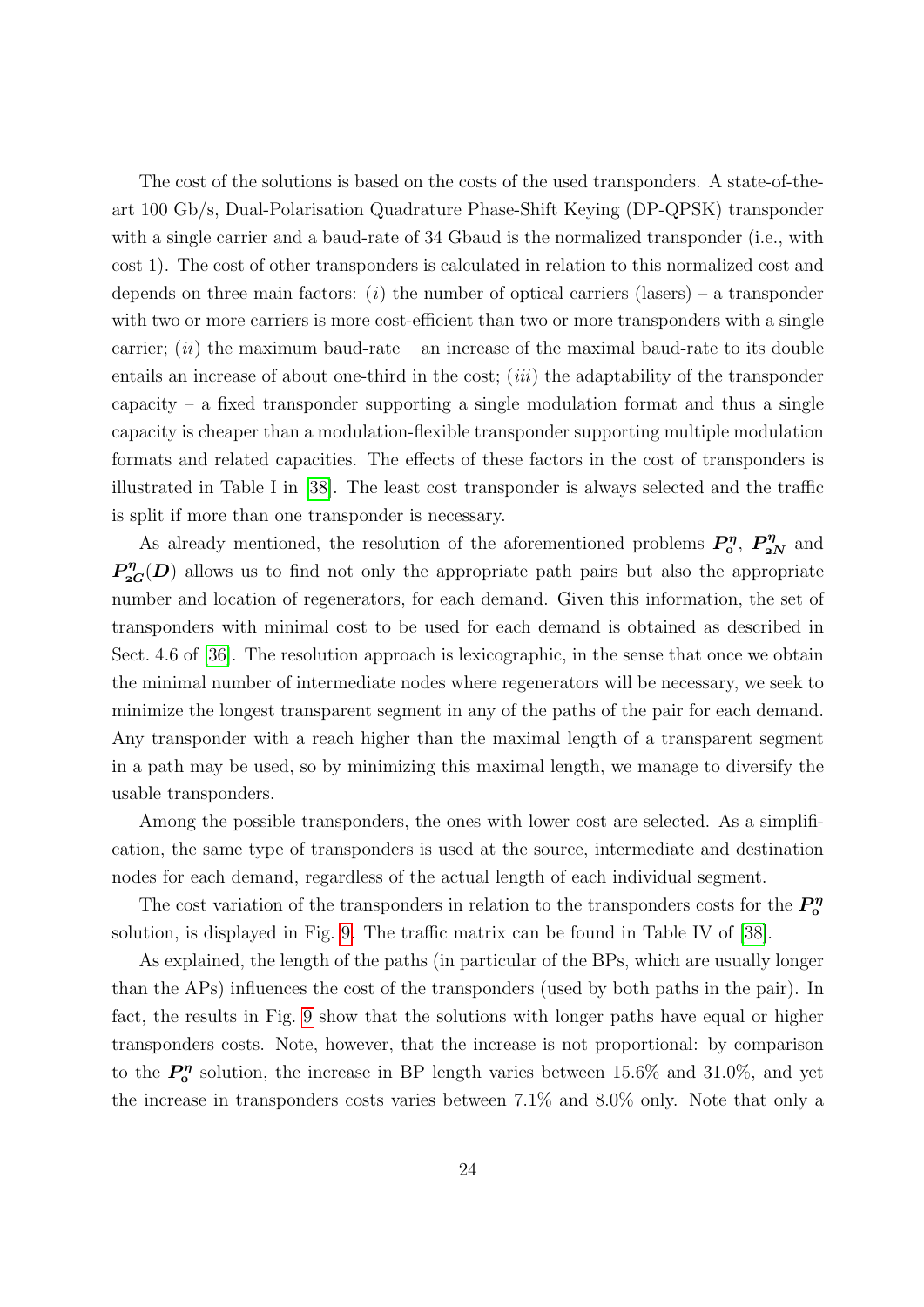The cost of the solutions is based on the costs of the used transponders. A state-of-theart 100 Gb/s, Dual-Polarisation Quadrature Phase-Shift Keying (DP-QPSK) transponder with a single carrier and a baud-rate of 34 Gbaud is the normalized transponder (i.e., with cost 1). The cost of other transponders is calculated in relation to this normalized cost and depends on three main factors:  $(i)$  the number of optical carriers (lasers) – a transponder with two or more carriers is more cost-efficient than two or more transponders with a single carrier;  $(ii)$  the maximum baud-rate – an increase of the maximal baud-rate to its double entails an increase of about one-third in the cost; *(iii)* the adaptability of the transponder capacity – a fixed transponder supporting a single modulation format and thus a single capacity is cheaper than a modulation-flexible transponder supporting multiple modulation formats and related capacities. The effects of these factors in the cost of transponders is illustrated in Table I in [\[38\]](#page-29-3). The least cost transponder is always selected and the traffic is split if more than one transponder is necessary.

As already mentioned, the resolution of the aforementioned problems  $P_0^{\eta}$ ,  $P_{2N}^{\eta}$  and  $P_{2G}^{\eta}(D)$  allows us to find not only the appropriate path pairs but also the appropriate number and location of regenerators, for each demand. Given this information, the set of transponders with minimal cost to be used for each demand is obtained as described in Sect. 4.6 of [\[36\]](#page-29-1). The resolution approach is lexicographic, in the sense that once we obtain the minimal number of intermediate nodes where regenerators will be necessary, we seek to minimize the longest transparent segment in any of the paths of the pair for each demand. Any transponder with a reach higher than the maximal length of a transparent segment in a path may be used, so by minimizing this maximal length, we manage to diversify the usable transponders.

Among the possible transponders, the ones with lower cost are selected. As a simplification, the same type of transponders is used at the source, intermediate and destination nodes for each demand, regardless of the actual length of each individual segment.

The cost variation of the transponders in relation to the transponders costs for the  $P_0^{\eta}$ solution, is displayed in Fig. [9.](#page-24-1) The traffic matrix can be found in Table IV of [\[38\]](#page-29-3).

As explained, the length of the paths (in particular of the BPs, which are usually longer than the APs) influences the cost of the transponders (used by both paths in the pair). In fact, the results in Fig. [9](#page-24-1) show that the solutions with longer paths have equal or higher transponders costs. Note, however, that the increase is not proportional: by comparison to the  $P_0^{\eta}$  solution, the increase in BP length varies between 15.6% and 31.0%, and yet the increase in transponders costs varies between 7.1% and 8.0% only. Note that only a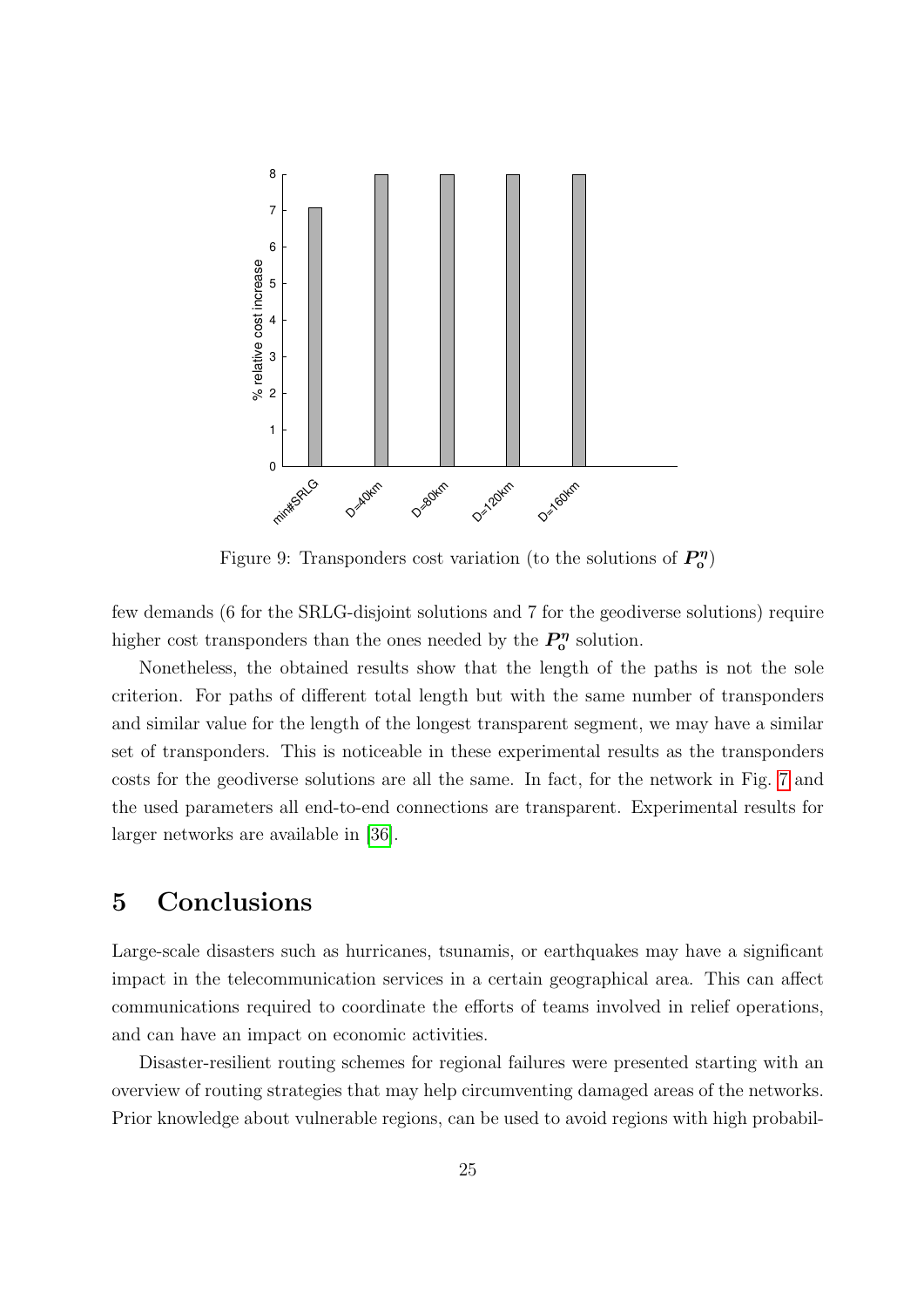

<span id="page-24-1"></span>Figure 9: Transponders cost variation (to the solutions of  $P_0^{\eta}$ )

few demands (6 for the SRLG-disjoint solutions and 7 for the geodiverse solutions) require higher cost transponders than the ones needed by the  $P_0^{\eta}$  solution.

Nonetheless, the obtained results show that the length of the paths is not the sole criterion. For paths of different total length but with the same number of transponders and similar value for the length of the longest transparent segment, we may have a similar set of transponders. This is noticeable in these experimental results as the transponders costs for the geodiverse solutions are all the same. In fact, for the network in Fig. [7](#page-21-0) and the used parameters all end-to-end connections are transparent. Experimental results for larger networks are available in [\[36\]](#page-29-1).

## <span id="page-24-0"></span>5 Conclusions

Large-scale disasters such as hurricanes, tsunamis, or earthquakes may have a significant impact in the telecommunication services in a certain geographical area. This can affect communications required to coordinate the efforts of teams involved in relief operations, and can have an impact on economic activities.

Disaster-resilient routing schemes for regional failures were presented starting with an overview of routing strategies that may help circumventing damaged areas of the networks. Prior knowledge about vulnerable regions, can be used to avoid regions with high probabil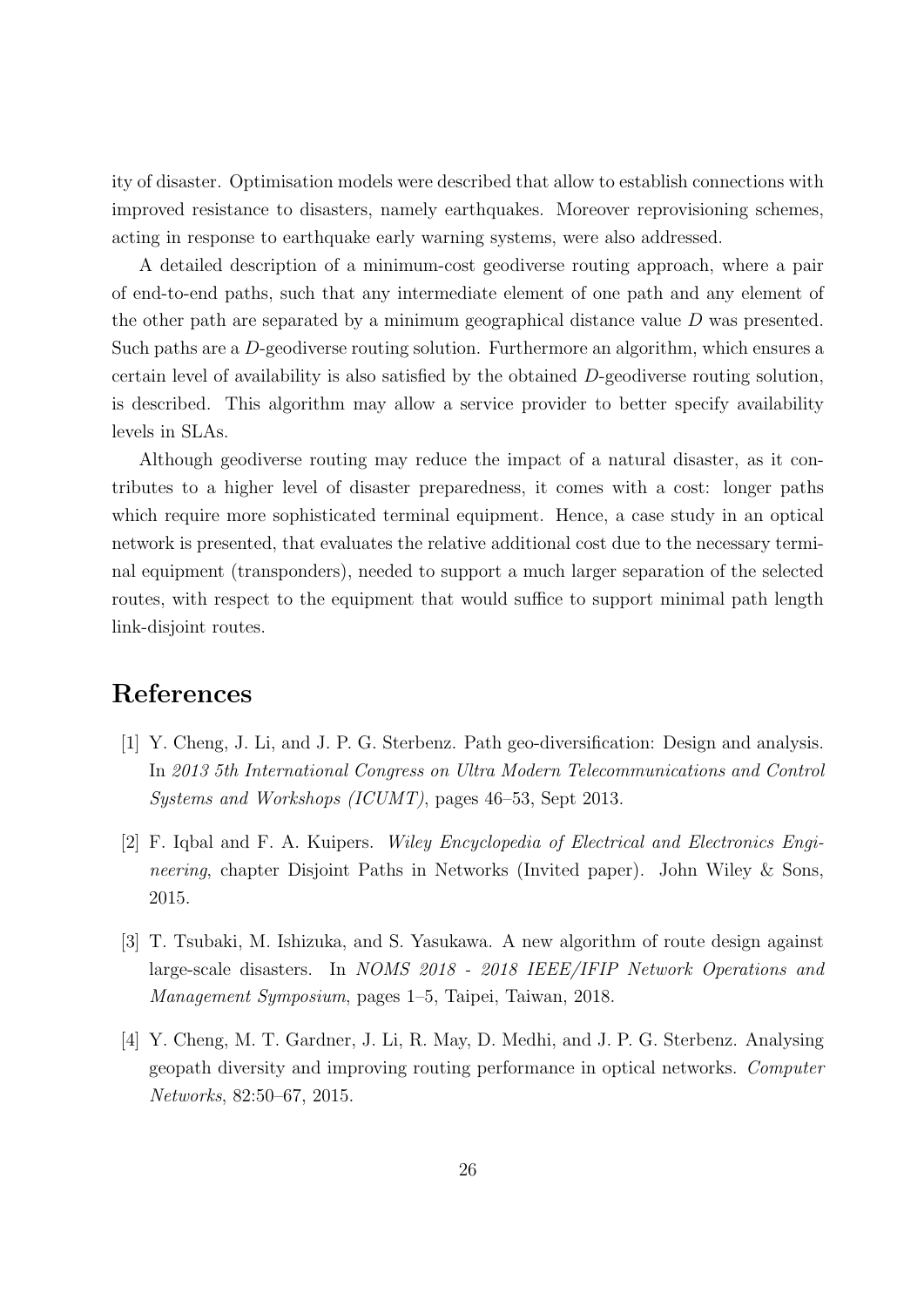ity of disaster. Optimisation models were described that allow to establish connections with improved resistance to disasters, namely earthquakes. Moreover reprovisioning schemes, acting in response to earthquake early warning systems, were also addressed.

A detailed description of a minimum-cost geodiverse routing approach, where a pair of end-to-end paths, such that any intermediate element of one path and any element of the other path are separated by a minimum geographical distance value D was presented. Such paths are a D-geodiverse routing solution. Furthermore an algorithm, which ensures a certain level of availability is also satisfied by the obtained D-geodiverse routing solution, is described. This algorithm may allow a service provider to better specify availability levels in SLAs.

Although geodiverse routing may reduce the impact of a natural disaster, as it contributes to a higher level of disaster preparedness, it comes with a cost: longer paths which require more sophisticated terminal equipment. Hence, a case study in an optical network is presented, that evaluates the relative additional cost due to the necessary terminal equipment (transponders), needed to support a much larger separation of the selected routes, with respect to the equipment that would suffice to support minimal path length link-disjoint routes.

## References

- <span id="page-25-0"></span>[1] Y. Cheng, J. Li, and J. P. G. Sterbenz. Path geo-diversification: Design and analysis. In 2013 5th International Congress on Ultra Modern Telecommunications and Control Systems and Workshops (ICUMT), pages 46–53, Sept 2013.
- <span id="page-25-1"></span>[2] F. Iqbal and F. A. Kuipers. Wiley Encyclopedia of Electrical and Electronics Engineering, chapter Disjoint Paths in Networks (Invited paper). John Wiley & Sons, 2015.
- <span id="page-25-2"></span>[3] T. Tsubaki, M. Ishizuka, and S. Yasukawa. A new algorithm of route design against large-scale disasters. In NOMS 2018 - 2018 IEEE/IFIP Network Operations and Management Symposium, pages 1–5, Taipei, Taiwan, 2018.
- <span id="page-25-3"></span>[4] Y. Cheng, M. T. Gardner, J. Li, R. May, D. Medhi, and J. P. G. Sterbenz. Analysing geopath diversity and improving routing performance in optical networks. Computer Networks, 82:50–67, 2015.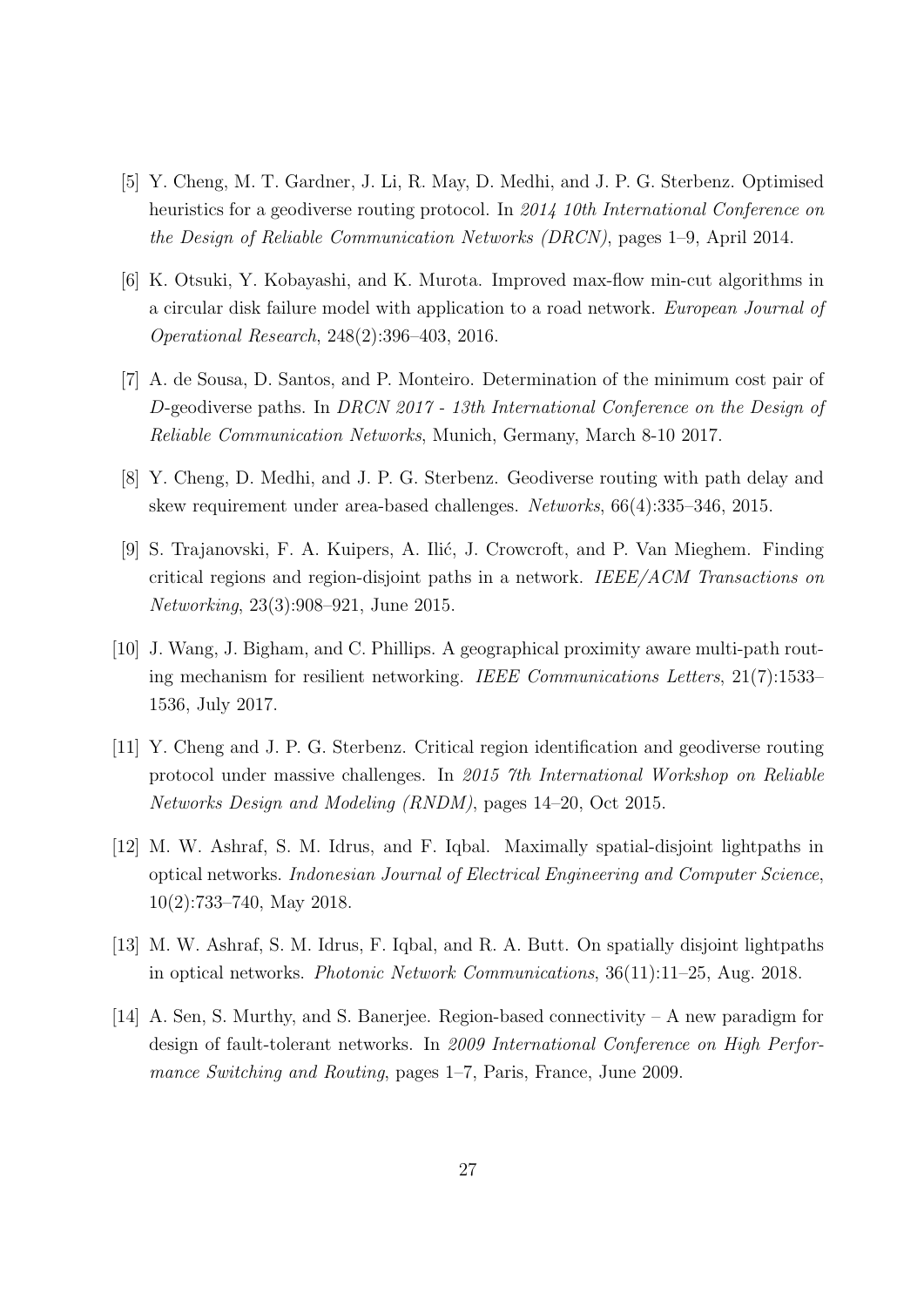- <span id="page-26-0"></span>[5] Y. Cheng, M. T. Gardner, J. Li, R. May, D. Medhi, and J. P. G. Sterbenz. Optimised heuristics for a geodiverse routing protocol. In 2014 10th International Conference on the Design of Reliable Communication Networks (DRCN), pages 1–9, April 2014.
- <span id="page-26-1"></span>[6] K. Otsuki, Y. Kobayashi, and K. Murota. Improved max-flow min-cut algorithms in a circular disk failure model with application to a road network. European Journal of Operational Research, 248(2):396–403, 2016.
- <span id="page-26-2"></span>[7] A. de Sousa, D. Santos, and P. Monteiro. Determination of the minimum cost pair of D-geodiverse paths. In DRCN 2017 - 13th International Conference on the Design of Reliable Communication Networks, Munich, Germany, March 8-10 2017.
- <span id="page-26-3"></span>[8] Y. Cheng, D. Medhi, and J. P. G. Sterbenz. Geodiverse routing with path delay and skew requirement under area-based challenges. Networks, 66(4):335–346, 2015.
- <span id="page-26-4"></span>[9] S. Trajanovski, F. A. Kuipers, A. Ilić, J. Crowcroft, and P. Van Mieghem. Finding critical regions and region-disjoint paths in a network. IEEE/ACM Transactions on Networking, 23(3):908–921, June 2015.
- <span id="page-26-5"></span>[10] J. Wang, J. Bigham, and C. Phillips. A geographical proximity aware multi-path routing mechanism for resilient networking. IEEE Communications Letters, 21(7):1533– 1536, July 2017.
- <span id="page-26-6"></span>[11] Y. Cheng and J. P. G. Sterbenz. Critical region identification and geodiverse routing protocol under massive challenges. In 2015 7th International Workshop on Reliable Networks Design and Modeling (RNDM), pages 14–20, Oct 2015.
- <span id="page-26-7"></span>[12] M. W. Ashraf, S. M. Idrus, and F. Iqbal. Maximally spatial-disjoint lightpaths in optical networks. Indonesian Journal of Electrical Engineering and Computer Science, 10(2):733–740, May 2018.
- <span id="page-26-8"></span>[13] M. W. Ashraf, S. M. Idrus, F. Iqbal, and R. A. Butt. On spatially disjoint lightpaths in optical networks. Photonic Network Communications, 36(11):11–25, Aug. 2018.
- <span id="page-26-9"></span>[14] A. Sen, S. Murthy, and S. Banerjee. Region-based connectivity – A new paradigm for design of fault-tolerant networks. In 2009 International Conference on High Performance Switching and Routing, pages 1–7, Paris, France, June 2009.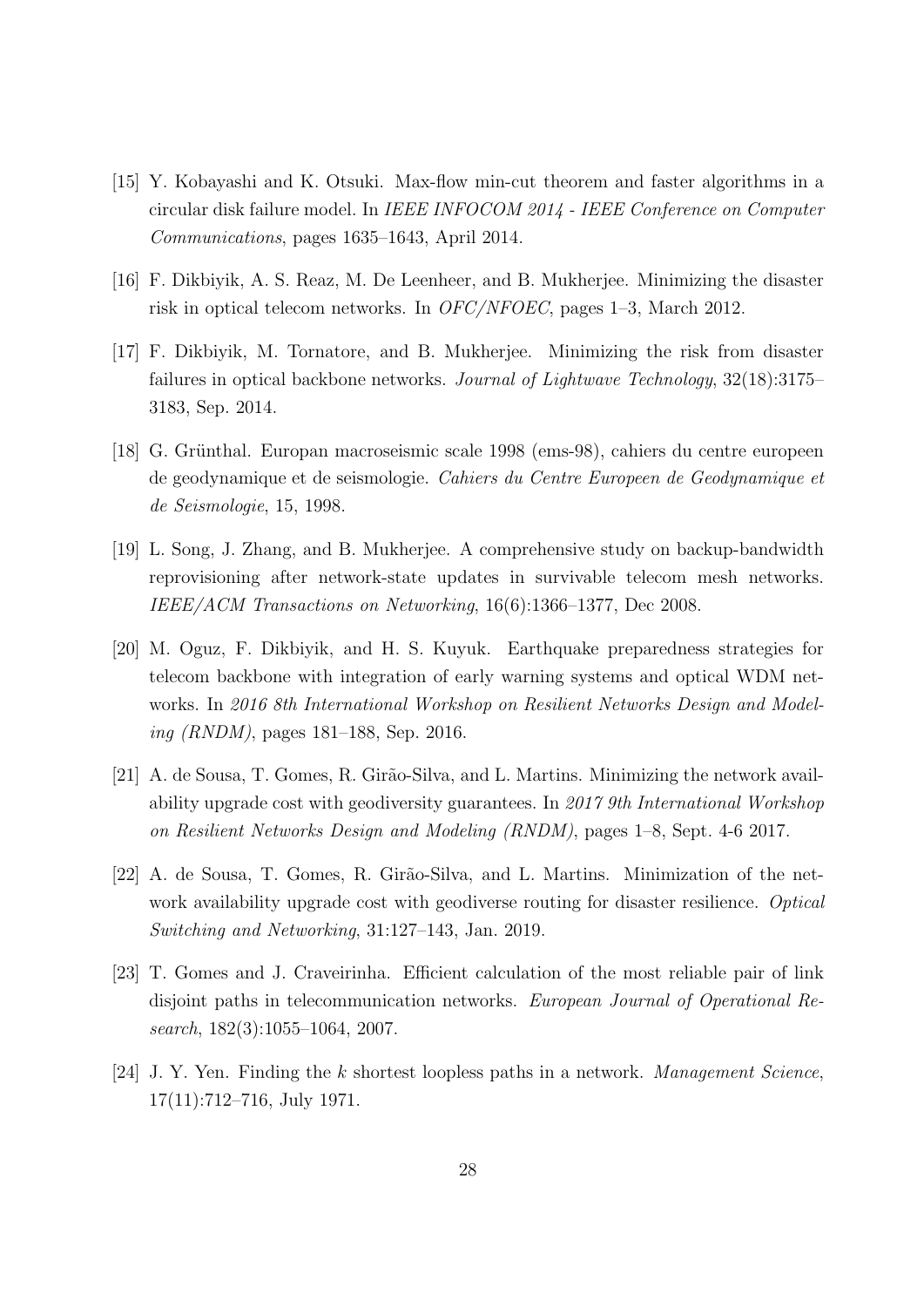- <span id="page-27-0"></span>[15] Y. Kobayashi and K. Otsuki. Max-flow min-cut theorem and faster algorithms in a circular disk failure model. In IEEE INFOCOM 2014 - IEEE Conference on Computer Communications, pages 1635–1643, April 2014.
- <span id="page-27-1"></span>[16] F. Dikbiyik, A. S. Reaz, M. De Leenheer, and B. Mukherjee. Minimizing the disaster risk in optical telecom networks. In OFC/NFOEC, pages 1–3, March 2012.
- <span id="page-27-2"></span>[17] F. Dikbiyik, M. Tornatore, and B. Mukherjee. Minimizing the risk from disaster failures in optical backbone networks. Journal of Lightwave Technology, 32(18):3175– 3183, Sep. 2014.
- <span id="page-27-3"></span>[18] G. Grünthal. Europan macroseismic scale 1998 (ems-98), cahiers du centre europeen de geodynamique et de seismologie. Cahiers du Centre Europeen de Geodynamique et de Seismologie, 15, 1998.
- <span id="page-27-4"></span>[19] L. Song, J. Zhang, and B. Mukherjee. A comprehensive study on backup-bandwidth reprovisioning after network-state updates in survivable telecom mesh networks. IEEE/ACM Transactions on Networking, 16(6):1366–1377, Dec 2008.
- <span id="page-27-5"></span>[20] M. Oguz, F. Dikbiyik, and H. S. Kuyuk. Earthquake preparedness strategies for telecom backbone with integration of early warning systems and optical WDM networks. In 2016 8th International Workshop on Resilient Networks Design and Modeling (RNDM), pages 181–188, Sep. 2016.
- <span id="page-27-6"></span>[21] A. de Sousa, T. Gomes, R. Girão-Silva, and L. Martins. Minimizing the network availability upgrade cost with geodiversity guarantees. In 2017 9th International Workshop on Resilient Networks Design and Modeling (RNDM), pages 1–8, Sept. 4-6 2017.
- <span id="page-27-7"></span>[22] A. de Sousa, T. Gomes, R. Girão-Silva, and L. Martins. Minimization of the network availability upgrade cost with geodiverse routing for disaster resilience. *Optical* Switching and Networking, 31:127–143, Jan. 2019.
- <span id="page-27-8"></span>[23] T. Gomes and J. Craveirinha. Efficient calculation of the most reliable pair of link disjoint paths in telecommunication networks. European Journal of Operational Research, 182(3):1055–1064, 2007.
- <span id="page-27-9"></span>[24] J. Y. Yen. Finding the k shortest loopless paths in a network. Management Science, 17(11):712–716, July 1971.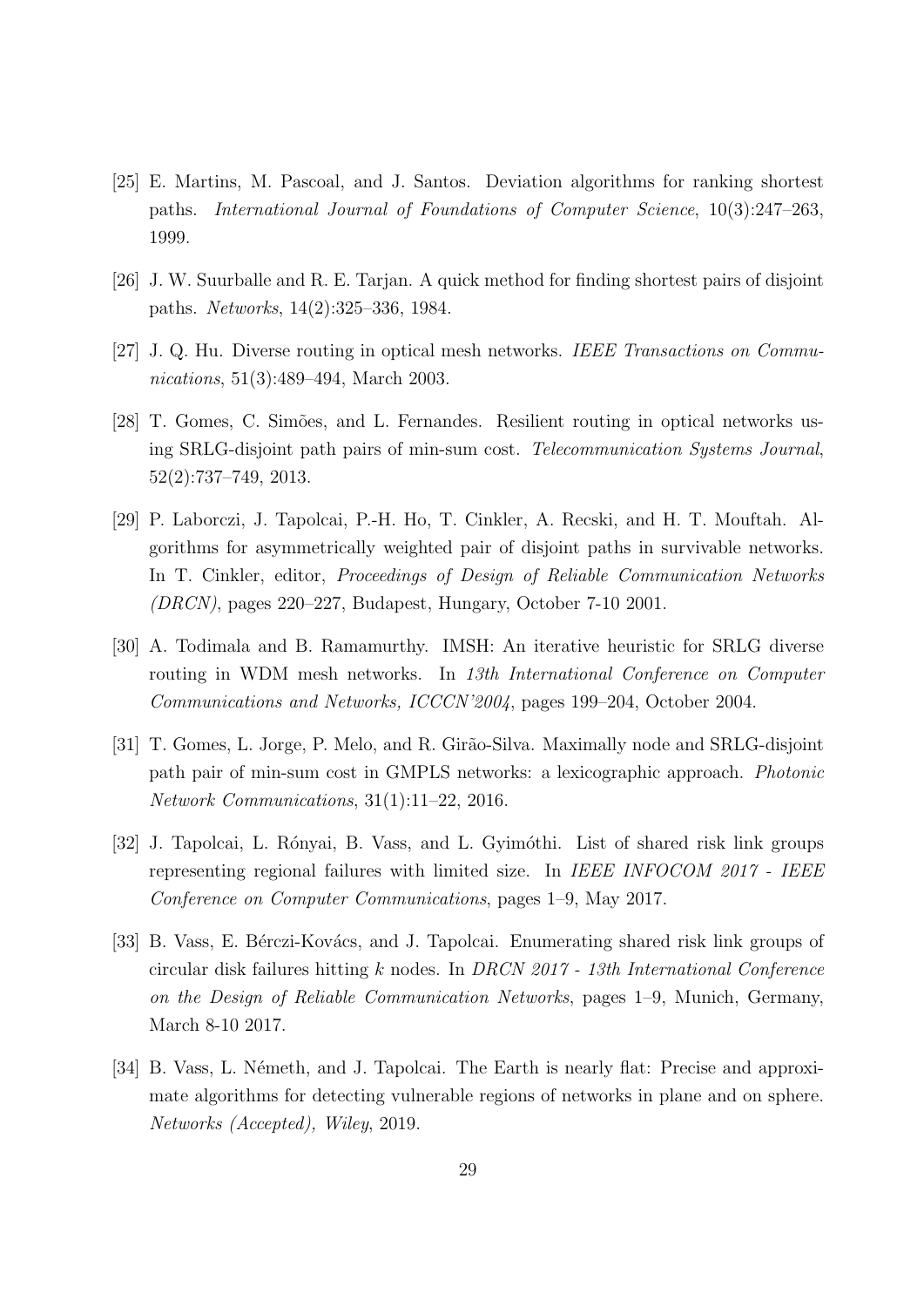- <span id="page-28-0"></span>[25] E. Martins, M. Pascoal, and J. Santos. Deviation algorithms for ranking shortest paths. International Journal of Foundations of Computer Science, 10(3):247–263, 1999.
- <span id="page-28-1"></span>[26] J. W. Suurballe and R. E. Tarjan. A quick method for finding shortest pairs of disjoint paths. Networks, 14(2):325–336, 1984.
- <span id="page-28-2"></span>[27] J. Q. Hu. Diverse routing in optical mesh networks. IEEE Transactions on Communications, 51(3):489–494, March 2003.
- <span id="page-28-3"></span>[28] T. Gomes, C. Simões, and L. Fernandes. Resilient routing in optical networks using SRLG-disjoint path pairs of min-sum cost. Telecommunication Systems Journal, 52(2):737–749, 2013.
- [29] P. Laborczi, J. Tapolcai, P.-H. Ho, T. Cinkler, A. Recski, and H. T. Mouftah. Algorithms for asymmetrically weighted pair of disjoint paths in survivable networks. In T. Cinkler, editor, Proceedings of Design of Reliable Communication Networks (DRCN), pages 220–227, Budapest, Hungary, October 7-10 2001.
- <span id="page-28-4"></span>[30] A. Todimala and B. Ramamurthy. IMSH: An iterative heuristic for SRLG diverse routing in WDM mesh networks. In 13th International Conference on Computer Communications and Networks, ICCCN'2004, pages 199–204, October 2004.
- <span id="page-28-5"></span>[31] T. Gomes, L. Jorge, P. Melo, and R. Girão-Silva. Maximally node and SRLG-disjoint path pair of min-sum cost in GMPLS networks: a lexicographic approach. Photonic Network Communications, 31(1):11–22, 2016.
- <span id="page-28-6"></span>[32] J. Tapolcai, L. Rónyai, B. Vass, and L. Gyimóthi. List of shared risk link groups representing regional failures with limited size. In IEEE INFOCOM 2017 - IEEE Conference on Computer Communications, pages 1–9, May 2017.
- [33] B. Vass, E. Bérczi-Kovács, and J. Tapolcai. Enumerating shared risk link groups of circular disk failures hitting k nodes. In DRCN  $2017 - 13$ th International Conference on the Design of Reliable Communication Networks, pages 1–9, Munich, Germany, March 8-10 2017.
- <span id="page-28-7"></span>[34] B. Vass, L. Németh, and J. Tapolcai. The Earth is nearly flat: Precise and approximate algorithms for detecting vulnerable regions of networks in plane and on sphere. Networks (Accepted), Wiley, 2019.